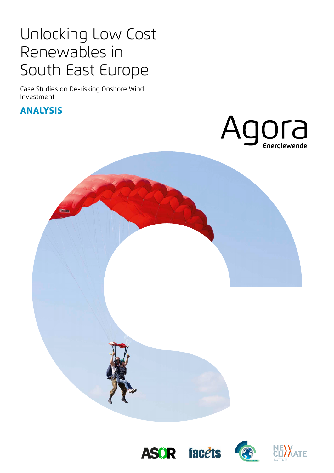# Unlocking Low Cost Renewables in South East Europe

Case Studies on De-risking Onshore Wind Investment

## ANALYSIS







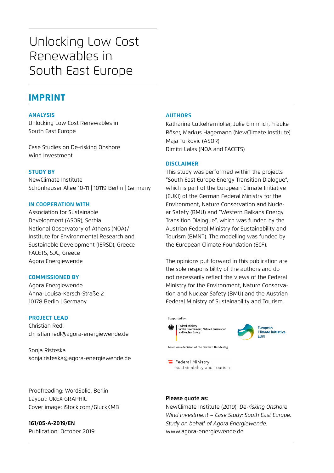## Unlocking Low Cost Renewables in South East Europe

## IMPRINT

#### **ANALYSIS**

Unlocking Low Cost Renewables in South East Europe

Case Studies on De-risking Onshore Wind Investment

#### **STUDY BY**

NewClimate Institute Schönhauser Allee 10-11 | 10119 Berlin | Germany

#### **IN COOPERATION WITH**

Association for Sustainable Development (ASOR), Serbia National Observatory of Athens (NOA)/ Institute for Environmental Research and Sustainable Development (IERSD), Greece FACETS, S.A., Greece Agora Energiewende

#### **COMMISSIONED BY**

[Agora Energiewende](http://www.agora-energiewende.de) Anna-Louisa-Karsch-Straße 2 10178 Berlin | Germany

#### **PROJECT LEAD**

Christian Redl christian.redl@agora-energiewende.de

Sonja Risteska sonja.risteska@agora-energiewende.de

Proofreading: WordSolid, Berlin Layout: UKEX GRAPHIC Cover image: iStock.com/GluckKMB

**161/05-A-2019/EN** Publication: October 2019

#### **AUTHORS**

Katharina Lütkehermöller, Julie Emmrich, Frauke Röser, Markus Hagemann (NewClimate Institute) Maja Turkovic (ASOR) Dimitri Lalas (NOA and FACETS)

#### **DISCLAIMER**

This study was performed within the projects "South East Europe Energy Transition Dialogue", which is part of the European Climate Initiative (EUKI) of the German Federal Ministry for the Environment, Nature Conservation and Nuclear Safety (BMU) and "Western Balkans Energy Transition Dialogue", which was funded by the Austrian Federal Ministry for Sustainability and Tourism (BMNT). The modelling was funded by the European Climate Foundation (ECF).

The opinions put forward in this publication are the sole responsibility of the authors and do not necessarily reflect the views of the Federal Ministry for the Environment, Nature Conservation and Nuclear Safety (BMU) and the Austrian Federal Ministry of Sustainability and Tourism.

Supported by: Federal Ministry<br>for the Environment, Nature Conservation<br>and Nuclear Safety



based on a decision of the German Bundestag

Federal Ministry Sustainability and Tourism

#### Please quote as:

NewClimate Institute (2019): *De-risking Onshore Wind Investment – Case Study: South East Europe. Study on behalf of Agora Energiewende.* [www.agora-energiewende.de](http://www.agora-energiewende.de)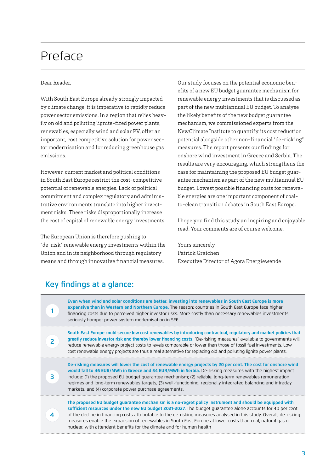## Preface

#### Dear Reader,

With South East Europe already strongly impacted by climate change, it is imperative to rapidly reduce power sector emissions. In a region that relies heavily on old and polluting lignite-fired power plants, renewables, especially wind and solar PV, offer an important, cost competitive solution for power sector modernisation and for reducing greenhouse gas emissions.

However, current market and political conditions in South East Europe restrict the cost-competitive potential of renewable energies. Lack of political commitment and complex regulatory and administrative environments translate into higher investment risks. These risks disproportionally increase the cost of capital of renewable energy investments.

The European Union is therefore pushing to "de-risk" renewable energy investments within the Union and in its neighborhood through regulatory means and through innovative financial measures.

Our study focuses on the potential economic benefits of a new EU budget guarantee mechanism for renewable energy investments that is discussed as part of the new multiannual EU budget. To analyse the likely benefits of the new budget guarantee mechanism, we commissioned experts from the NewClimate Institute to quantify its cost reduction potential alongside other non-financial "de-risking" measures. The report presents our findings for onshore wind investment in Greece and Serbia. The results are very encouraging, which strengthens the case for maintaining the proposed EU budget guarantee mechanism as part of the new multiannual EU budget. Lowest possible financing costs for renewable energies are one important component of coalto-clean transition debates in South East Europe.

I hope you find this study an inspiring and enjoyable read. Your comments are of course welcome.

Yours sincerely, Patrick Graichen Executive Director of Agora Energiewende

## Key findings at a glance:

4

**Even when wind and solar conditions are better, investing into renewables in South East Europe is more expensive than in Western and Northern Europe.** The reason: countries in South East Europe face higher financing costs due to perceived higher investor risks. More costly than necessary renewables investments seriously hamper power system modernisation in SEE.. **South East Europe could secure low cost renewables by introducing contractual, regulatory and market policies that greatly reduce investor risk and thereby lower financing costs.** "De-risking measures" available to governments will reduce renewable energy project costs to levels comparable or lower than those of fossil fuel investments. Low cost renewable energy projects are thus a real alternative for replacing old and polluting lignite power plants. **De-risking measures will lower the cost of renewable energy projects by 20 per cent. The cost for onshore wind would fall to 46 EUR/MWh in Greece and 54 EUR/MWh in Serbia.** De-risking measures with the highest impact 3 2 1

include: (1) the proposed EU budget guarantee mechanism; (2) reliable, long-term renewables remuneration regimes and long-term renewables targets; (3) well-functioning, regionally integrated balancing and intraday markets; and (4) corporate power purchase agreements.

**The proposed EU budget guarantee mechanism is a no-regret policy instrument and should be equipped with sufficient resources under the new EU budget 2021-2027.** The budget guarantee alone accounts for 40 per cent of the decline in financing costs attributable to the de-risking measures analysed in this study. Overall, de-risking measures enable the expansion of renewables in South East Europe at lower costs than coal, natural gas or nuclear, with attendant benefits for the climate and for human health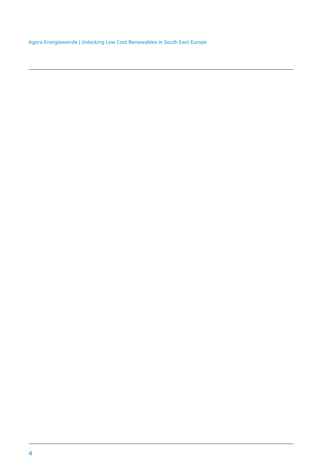Agora Energiewende | Unlocking Low Cost Renewables in South East Europe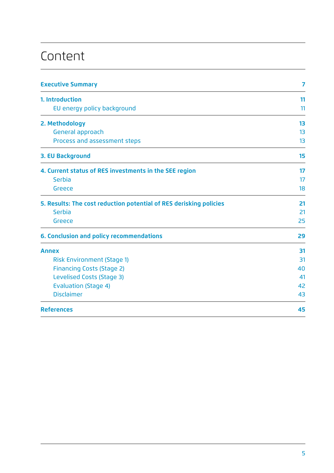## Content

| <b>Executive Summary</b>                                           | 7  |
|--------------------------------------------------------------------|----|
| 1. Introduction                                                    | 11 |
| EU energy policy background                                        | 11 |
| 2. Methodology                                                     | 13 |
| General approach                                                   | 13 |
| Process and assessment steps                                       | 13 |
| 3. EU Background                                                   | 15 |
| 4. Current status of RES investments in the SEE region             | 17 |
| <b>Serbia</b>                                                      | 17 |
| <b>Greece</b>                                                      | 18 |
| 5. Results: The cost reduction potential of RES derisking policies | 21 |
| <b>Serbia</b>                                                      | 21 |
| <b>Greece</b>                                                      | 25 |
| 6. Conclusion and policy recommendations                           | 29 |
| <b>Annex</b>                                                       | 31 |
| <b>Risk Environment (Stage 1)</b>                                  | 31 |
| <b>Financing Costs (Stage 2)</b>                                   | 40 |
| Levelised Costs (Stage 3)                                          | 41 |
| <b>Evaluation (Stage 4)</b>                                        | 42 |
| <b>Disclaimer</b>                                                  | 43 |
| <b>References</b>                                                  | 45 |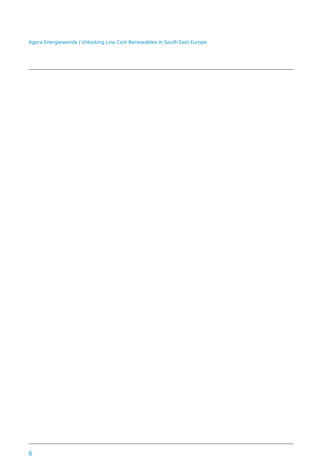Agora Energiewende | Unlocking Low Cost Renewables in South East Europe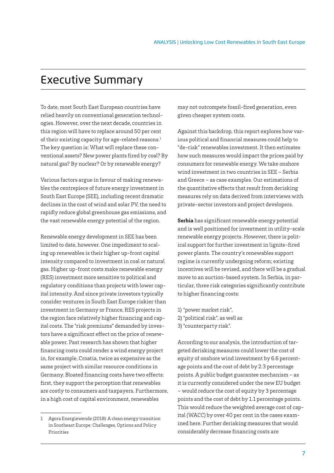## Executive Summary

To date, most South East European countries have relied heavily on conventional generation technologies. However, over the next decade, countries in this region will have to replace around 50 per cent of their existing capacity for age-related reasons. $1$ The key question is: What will replace these conventional assets? New power plants fired by coal? By natural gas? By nuclear? Or by renewable energy?

Various factors argue in favour of making renewables the centrepiece of future energy investment in South East Europe (SEE), including recent dramatic declines in the cost of wind and solar PV, the need to rapidly reduce global greenhouse gas emissions, and the vast renewable energy potential of the region.

Renewable energy development in SEE has been limited to date, however. One impediment to scaling up renewables is their higher up-front capital intensity compared to investment in coal or natural gas. Higher up-front costs make renewable energy (RES) investment more sensitive to political and regulatory conditions than projects with lower capital intensity. And since private investors typically consider ventures in South East Europe riskier than investment in Germany or France, RES projects in the region face relatively higher financing and capital costs. The "risk premiums" demanded by investors have a significant effect on the price of renewable power. Past research has shown that higher financing costs could render a wind energy project in, for example, Croatia, twice as expensive as the same project with similar resource conditions in Germany. Bloated financing costs have two effects: first, they support the perception that renewables are costly to consumers and taxpayers. Furthermore, in a high cost of capital environment, renewables

may not outcompete fossil-fired generation, even given cheaper system costs.

Against this backdrop, this report explores how various political and financial measures could help to "de-risk" renewables investment. It then estimates how such measures would impact the prices paid by consumers for renewable energy. We take onshore wind investment in two countries in SEE – Serbia and Greece – as case examples. Our estimations of the quantitative effects that result from derisking measures rely on data derived from interviews with private-sector investors and project developers.

**Serbia** has significant renewable energy potential and is well positioned for investment in utility-scale renewable energy projects. However, there is political support for further investment in lignite-fired power plants. The country's renewables support regime is currently undergoing reform; existing incentives will be revised, and there will be a gradual move to an auction-based system. In Serbia, in particular, three risk categories significantly contribute to higher financing costs:

1) "power market risk", 2) "political risk", as well as 3) "counterparty risk".

According to our analysis, the introduction of targeted derisking measures could lower the cost of equity of onshore wind investment by 6.6 percentage points and the cost of debt by 2.3 percentage points. A public budget guarantee mechanism – as it is currently considered under the new EU budget – would reduce the cost of equity by 3 percentage points and the cost of debt by 1.1 percentage points. This would reduce the weighted average cost of capital (WACC) by over 40 per cent in the cases examined here. Further derisking measures that would considerably decrease financing costs are

<sup>1</sup> Agora Energiewende (2018), A clean energy transition in Southeast Europe: Challenges, Options and Policy Priorities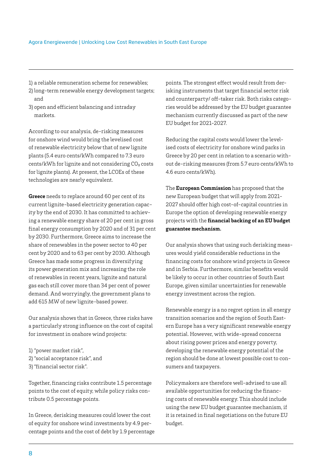- 1) a reliable remuneration scheme for renewables;
- 2) long-term renewable energy development targets; and
- 3) open and efficient balancing and intraday markets.

According to our analysis, de-risking measures for onshore wind would bring the levelised cost of renewable electricity below that of new lignite plants (5.4 euro cents/kWh compared to 7.3 euro cents/kWh for lignite and not considering CO₂ costs for lignite plants). At present, the LCOEs of these technologies are nearly equivalent.

**Greece** needs to replace around 60 per cent of its current lignite-based electricity generation capacity by the end of 2030. It has committed to achieving a renewable energy share of 20 per cent in gross final energy consumption by 2020 and of 31 per cent by 2030. Furthermore, Greece aims to increase the share of renewables in the power sector to 40 per cent by 2020 and to 63 per cent by 2030. Although Greece has made some progress in diversifying its power generation mix and increasing the role of renewables in recent years, lignite and natural gas each still cover more than 34 per cent of power demand. And worryingly, the government plans to add 615 MW of new lignite-based power.

Our analysis shows that in Greece, three risks have a particularly strong influence on the cost of capital for investment in onshore wind projects:

- 1) "power market risk",
- 2) "social acceptance risk", and
- 3) "financial sector risk".

Together, financing risks contribute 1.5 percentage points to the cost of equity, while policy risks contribute 0.5 percentage points.

In Greece, derisking measures could lower the cost of equity for onshore wind investments by 4.9 percentage points and the cost of debt by 1.9 percentage points. The strongest effect would result from derisking instruments that target financial sector risk and counterparty/ off-taker risk. Both risks categories would be addressed by the EU budget guarantee mechanism currently discussed as part of the new EU budget for 2021-2027.

Reducing the capital costs would lower the levelised costs of electricity for onshore wind parks in Greece by 20 per cent in relation to a scenario without de-risking measures (from 5.7 euro cents/kWh to 4.6 euro cents/kWh).

The **European Commission** has proposed that the new European budget that will apply from 2021- 2027 should offer high cost-of-capital countries in Europe the option of developing renewable energy projects with the **financial backing of an EU budget guarantee mechanism.**

Our analysis shows that using such derisking measures would yield considerable reductions in the financing costs for onshore wind projects in Greece and in Serbia. Furthermore, similar benefits would be likely to occur in other countries of South East Europe, given similar uncertainties for renewable energy investment across the region.

Renewable energy is a no regret option in all energy transition scenarios and the region of South Eastern Europe has a very significant renewable energy potential. However, with wide-spread concerns about rising power prices and energy poverty, developing the renewable energy potential of the region should be done at lowest possible cost to consumers and taxpayers.

Policymakers are therefore well-advised to use all available opportunities for reducing the financing costs of renewable energy. This should include using the new EU budget guarantee mechanism, if it is retained in final negotiations on the future EU budget.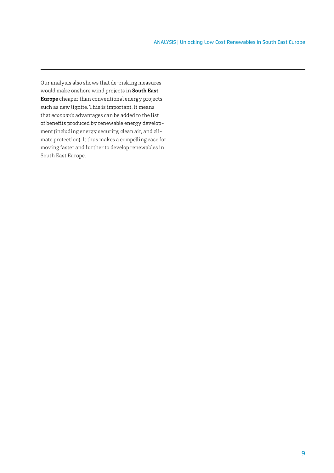Our analysis also shows that de-risking measures would make onshore wind projects in **South East Europe** cheaper than conventional energy projects such as new lignite. This is important. It means that *economic* advantages can be added to the list of benefits produced by renewable energy development (including energy security, clean air, and climate protection). It thus makes a compelling case for moving faster and further to develop renewables in South East Europe.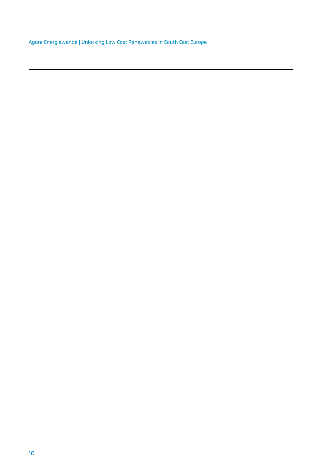Agora Energiewende | Unlocking Low Cost Renewables in South East Europe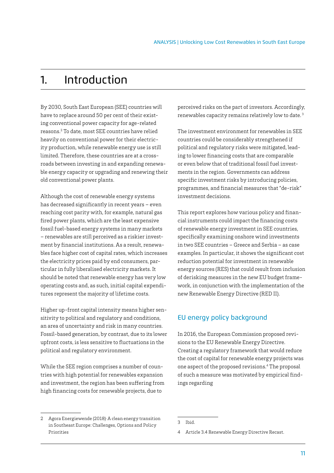## 1. Introduction

By 2030, South East European (SEE) countries will have to replace around 50 per cent of their existing conventional power capacity for age-related reasons.2 To date, most SEE countries have relied heavily on conventional power for their electricity production, while renewable energy use is still limited. Therefore, these countries are at a crossroads between investing in and expanding renewable energy capacity or upgrading and renewing their old conventional power plants.

Although the cost of renewable energy systems has decreased significantly in recent years – even reaching cost parity with, for example, natural gas fired power plants, which are the least expensive fossil fuel-based energy systems in many markets – renewables are still perceived as a riskier investment by financial institutions. As a result, renewables face higher cost of capital rates, which increases the electricity prices paid by end consumers, particular in fully liberalised electricity markets. It should be noted that renewable energy has very low operating costs and, as such, initial capital expenditures represent the majority of lifetime costs.

Higher up-front capital intensity means higher sensitivity to political and regulatory and conditions, an area of uncertainty and risk in many countries. Fossil-based generation, by contrast, due to its lower upfront costs, is less sensitive to fluctuations in the political and regulatory environment.

While the SEE region comprises a number of countries with high potential for renewables expansion and investment, the region has been suffering from high financing costs for renewable projects, due to

perceived risks on the part of investors. Accordingly, renewables capacity remains relatively low to date. <sup>3</sup>

The investment environment for renewables in SEE countries could be considerably strengthened if political and regulatory risks were mitigated, leading to lower financing costs that are comparable or even below that of traditional fossil fuel investments in the region. Governments can address specific investment risks by introducing policies, programmes, and financial measures that "de-risk" investment decisions.

This report explores how various policy and financial instruments could impact the financing costs of renewable energy investment in SEE countries, specifically examining onshore wind investments in two SEE countries – Greece and Serbia – as case examples. In particular, it shows the significant cost reduction potential for investment in renewable energy sources (RES) that could result from inclusion of derisking measures in the new EU budget framework, in conjunction with the implementation of the new Renewable Energy Directive (RED II).

## EU energy policy background

In 2016, the European Commission proposed revisions to the EU Renewable Energy Directive. Creating a regulatory framework that would reduce the cost of capital for renewable energy projects was one aspect of the proposed revisions.<sup>4</sup> The proposal of such a measure was motivated by empirical findings regarding

<sup>2</sup> Agora Energiewende (2018)<sup>,</sup> A clean energy transition in Southeast Europe: Challenges, Options and Policy Priorities

<sup>3</sup> Ibid.

<sup>4</sup> Article 3.4 Renewable Energy Directive Recast.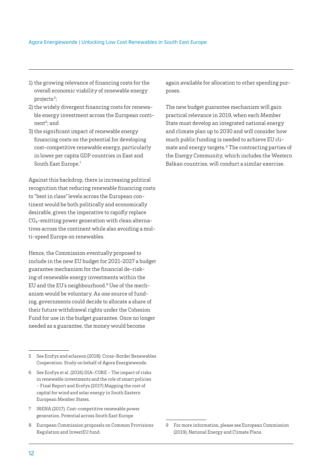- 1) the growing relevance of financing costs for the overall economic viability of renewable energy projects <sup>5</sup> ;
- 2) the widely divergent financing costs for renewable energy investment across the European continent<sup>6</sup>; and
- 3) the significant impact of renewable energy financing costs on the potential for developing cost-competitive renewable energy, particularly in lower per capita GDP countries in East and South East Europe.7

Against this backdrop, there is increasing political recognition that reducing renewable financing costs to "best in class" levels across the European continent would be both politically and economically desirable, given the imperative to rapidly replace  $CO<sub>2</sub>$ -emitting power generation with clean alternatives across the continent while also avoiding a multi-speed Europe on renewables.

Hence, the Commission eventually proposed to include in the new EU budget for 2021-2027 a budget guarantee mechanism for the financial de-risking of renewable energy investments within the EU and the EU's neighbourhood.<sup>8</sup> Use of the mechanism would be voluntary. As one source of funding, governments could decide to allocate a share of their future withdrawal rights under the Cohesion Fund for use in the budget guarantee. Once no longer needed as a guarantee, the money would become

again available for allocation to other spending purposes.

The new budget guarantee mechanism will gain practical relevance in 2019, when each Member State must develop an integrated national energy and climate plan up to 2030 and will consider how much public funding is needed to achieve EU climate and energy targets.9 The contracting parties of the Energy Community, which includes the Western Balkan countries, will conduct a similar exercise.

<sup>5</sup> See Ecofys and eclareon (2018): Cross-Border Renewables Cooperation. Study on behalf of Agora Energiewende.

<sup>6</sup> See Ecofys et al. (2016) DIA-CORE - The impact of risks in renewable investments and the role of smart policies - Final Report and Ecofys (2017) Mapping the cost of capital for wind and solar energy in South Eastern European Member States,

<sup>7</sup> IRENA (2017). Cost-competitive renewable power generation. Potential across South East Europe

<sup>8</sup> European Commission proposals on Common Provisions Regulation and InvestEU fund.

<sup>9</sup> For more information, please see European Commission (2019), National Energy and Climate Plans.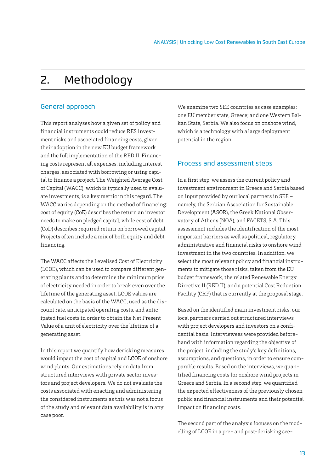## 2. Methodology

## General approach

This report analyses how a given set of policy and financial instruments could reduce RES investment risks and associated financing costs, given their adoption in the new EU budget framework and the full implementation of the RED II. Financing costs represent all expenses, including interest charges, associated with borrowing or using capital to finance a project. The Weighted Average Cost of Capital (WACC), which is typically used to evaluate investments, is a key metric in this regard. The WACC varies depending on the method of financing: cost of equity (CoE) describes the return an investor needs to make on pledged capital, while cost of debt (CoD) describes required return on borrowed capital. Projects often include a mix of both equity and debt financing.

The WACC affects the Levelised Cost of Electricity (LCOE), which can be used to compare different generating plants and to determine the minimum price of electricity needed in order to break even over the lifetime of the generating asset. LCOE values are calculated on the basis of the WACC, used as the discount rate, anticipated operating costs, and anticipated fuel costs in order to obtain the Net Present Value of a unit of electricity over the lifetime of a generating asset.

In this report we quantify how derisking measures would impact the cost of capital and LCOE of onshore wind plants. Our estimations rely on data from structured interviews with private sector investors and project developers. We do not evaluate the costs associated with enacting and administering the considered instruments as this was not a focus of the study and relevant data availability is in any case poor.

We examine two SEE countries as case examples: one EU member state, Greece; and one Western Balkan State, Serbia. We also focus on onshore wind, which is a technology with a large deployment potential in the region.

### Process and assessment steps

In a first step, we assess the current policy and investment environment in Greece and Serbia based on input provided by our local partners in SEE – namely, the Serbian Association for Sustainable Development (ASOR), the Greek National Observatory of Athens (NOA), and FACETS, S.A. This assessment includes the identification of the most important barriers as well as political, regulatory, administrative and financial risks to onshore wind investment in the two countries. In addition, we select the most relevant policy and financial instruments to mitigate those risks, taken from the EU budget framework, the related Renewable Energy Directive II (RED II), and a potential Cost Reduction Facility (CRF) that is currently at the proposal stage.

Based on the identified main investment risks, our local partners carried out structured interviews with project developers and investors on a confidential basis. Interviewees were provided beforehand with information regarding the objective of the project, including the study's key definitions, assumptions, and questions, in order to ensure comparable results. Based on the interviews, we quantified financing costs for onshore wind projects in Greece and Serbia. In a second step, we quantified the expected effectiveness of the previously chosen public and financial instruments and their potential impact on financing costs.

The second part of the analysis focuses on the modelling of LCOE in a pre- and post-derisking sce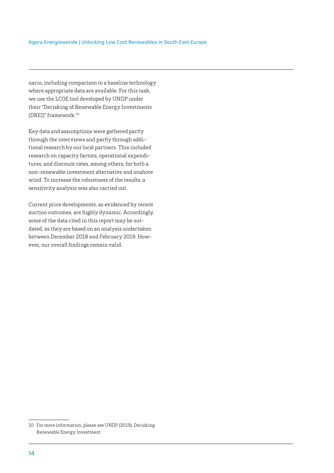nario, including comparison to a baseline technology where appropriate data are available. For this task, we use the LCOE tool developed by UNDP under their "Derisking of Renewable Energy Investments (DREI)" framework.10

Key data and assumptions were gathered partly through the interviews and partly through additional research by our local partners. This included research on capacity factors, operational expenditures, and discount rates, among others, for both a non-renewable investment alternative and onshore wind. To increase the robustness of the results, a sensitivity analysis was also carried out.

Current price developments, as evidenced by recent auction outcomes, are highly dynamic. Accordingly, some of the data cited in this report may be outdated, as they are based on an analysis undertaken between December 2018 and February 2019. However, our overall findings remain valid.

<sup>10</sup> For more information, please see UNDP (2019), Derisking Renewable Energy Investment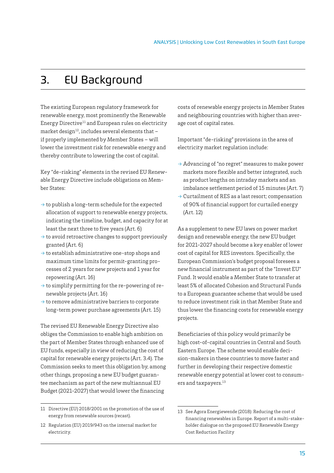## 3. EU Background

The existing European regulatory framework for renewable energy, most prominently the Renewable Energy Directive<sup>11</sup> and European rules on electricity market design<sup>12</sup>, includes several elements that  $$ if properly implemented by Member States – will lower the investment risk for renewable energy and thereby contribute to lowering the cost of capital.

Key "de-risking" elements in the revised EU Renewable Energy Directive include obligations on Member States:

- $\rightarrow$  to publish a long-term schedule for the expected allocation of support to renewable energy projects, indicating the timeline, budget, and capacity for at least the next three to five years (Art. 6)
- $\rightarrow$  to avoid retroactive changes to support previously granted (Art. 6)
- $\rightarrow$  to establish administrative one-stop shops and maximum time limits for permit-granting processes of 2 years for new projects and 1 year for repowering (Art. 16)
- $\rightarrow$  to simplify permitting for the re-powering of renewable projects (Art. 16)
- $\rightarrow$  to remove administrative barriers to corporate long-term power purchase agreements (Art. 15)

The revised EU Renewable Energy Directive also obliges the Commission to enable high ambition on the part of Member States through enhanced use of EU funds, especially in view of reducing the cost of capital for renewable energy projects (Art. 3.4). The Commission seeks to meet this obligation by, among other things, proposing a new EU budget guarantee mechanism as part of the new multiannual EU Budget (2021-2027) that would lower the financing

costs of renewable energy projects in Member States and neighbouring countries with higher than average cost of capital rates.

Important "de-risking" provisions in the area of electricity market regulation include:

- $\rightarrow$  Advancing of "no regret" measures to make power markets more flexible and better integrated, such as product lengths on intraday markets and an imbalance settlement period of 15 minutes (Art. 7)
- $\rightarrow$  Curtailment of RES as a last resort; compensation of 90% of financial support for curtailed energy (Art. 12)

As a supplement to new EU laws on power market design and renewable energy, the new EU budget for 2021-2027 should become a key enabler of lower cost of capital for RES investors. Specifically, the European Commission's budget proposal foresees a new financial instrument as part of the "Invest EU" Fund. It would enable a Member State to transfer at least 5% of allocated Cohesion and Structural Funds to a European guarantee scheme that would be used to reduce investment risk in that Member State and thus lower the financing costs for renewable energy projects.

Beneficiaries of this policy would primarily be high cost-of-capital countries in Central and South Eastern Europe. The scheme would enable decision-makers in these countries to move faster and further in developing their respective domestic renewable energy potential at lower cost to consumers and taxpayers.<sup>13</sup>

<sup>11</sup> Directive (EU) 2018/2001 on the promotion of the use of energy from renewable sources (recast).

<sup>12</sup> Regulation (EU) 2019/943 on the internal market for electricity.

<sup>13</sup> See Agora Energiewende (2018): Reducing the cost of financing renewables in Europe. Report of a multi-stakeholder dialogue on the proposed EU Renewable Energy Cost Reduction Facility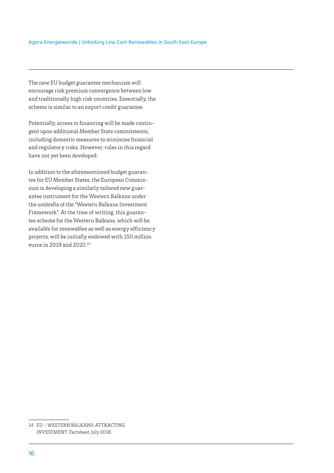The new EU budget guarantee mechanism will encourage risk premium convergence between low and traditionally high risk countries. Essentially, the scheme is similar to an export credit guarantee.

Potentially, access to financing will be made contingent upon additional Member State commitments, including domestic measures to minimise financial and regulatory risks. However, rules in this regard have not yet been developed.

In addition to the aforementioned budget guarantee for EU Member States, the European Commission is developing a similarly tailored new guarantee instrument for the Western Balkans under the umbrella of the "Western Balkans Investment Framework". At the time of writing, this guarantee scheme for the Western Balkans, which will be available for renewables as well as energy efficiency projects, will be initially endowed with 150 million euros in 2019 and 2020.14

<sup>14</sup> EU - WESTERN BALKANS: ATTRACTING INVESTMENT. Factsheet, July 2018.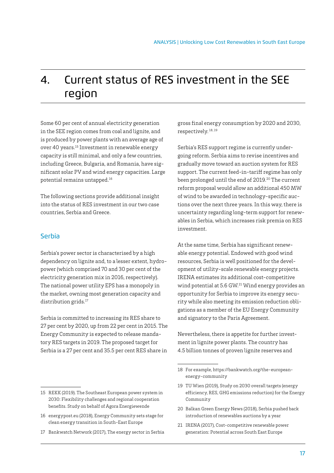## 4. Current status of RES investment in the SEE region

Some 60 per cent of annual electricity generation in the SEE region comes from coal and lignite, and is produced by power plants with an average age of over 40 years.15 Investment in renewable energy capacity is still minimal, and only a few countries, including Greece, Bulgaria, and Romania, have significant solar PV and wind energy capacities. Large potential remains untapped.16

The following sections provide additional insight into the status of RES investment in our two case countries, Serbia and Greece.

## Serbia

Serbia's power sector is characterised by a high dependency on lignite and, to a lesser extent, hydropower (which comprised 70 and 30 per cent of the electricity generation mix in 2016, respectively). The national power utility EPS has a monopoly in the market, owning most generation capacity and distribution grids.<sup>17</sup>

Serbia is committed to increasing its RES share to 27 per cent by 2020, up from 22 per cent in 2015. The Energy Community is expected to release mandatory RES targets in 2019. The proposed target for Serbia is a 27 per cent and 35.5 per cent RES share in

gross final energy consumption by 2020 and 2030, respectively. 18, 19

Serbia's RES support regime is currently undergoing reform. Serbia aims to revise incentives and gradually move toward an auction system for RES support. The current feed-in-tariff regime has only been prolonged until the end of 2019.<sup>20</sup> The current reform proposal would allow an additional 450 MW of wind to be awarded in technology-specific auctions over the next three years. In this way, there is uncertainty regarding long-term support for renewables in Serbia, which increases risk premia on RES investment.

At the same time, Serbia has significant renewable energy potential. Endowed with good wind resources, Serbia is well positioned for the development of utility-scale renewable energy projects. IRENA estimates its additional cost-competitive wind potential at 5.6 GW.<sup>21</sup> Wind energy provides an opportunity for Serbia to improve its energy security while also meeting its emission reduction obligations as a member of the EU Energy Community and signatory to the Paris Agreement.

Nevertheless, there is appetite for further investment in lignite power plants. The country has 4.5 billion tonnes of proven lignite reserves and

- 20 Balkan Green Energy News (2018), Serbia pushed back introduction of renewables auctions by a year
- 21 IRENA (2017), Cost-competitive renewable power generation: Potential across South East Europe

17 Bankwatch Network (2017), The energy sector in Serbia

<sup>18</sup> For example, [https://bankwatch.org/the-european](https://bankwatch.org/the-european-energy-community)[energy-community](https://bankwatch.org/the-european-energy-community)

<sup>19</sup> TU Wien (2019), Study on 2030 overall targets (energy efficiency, RES, GHG emissions reduction) for the Energy Community

<sup>15</sup> REKK (2019). The Southeast European power system in 2030: Flexibility challenges and regional cooperation benefits. Study on behalf of Agora Energiewende

<sup>16</sup> energypost.eu (2018)[, Energy Community sets stage for](https://energypost.eu/energy-community-sets-stage-for-clean-energy-transition-in-south-east-europe/)  [clean energy transition in South-East Europe](https://energypost.eu/energy-community-sets-stage-for-clean-energy-transition-in-south-east-europe/)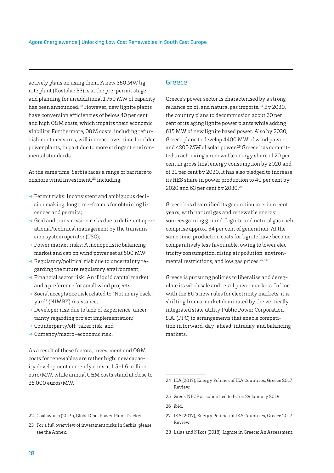actively plans on using them. A new 350 MW lignite plant (Kostolac B3) is at the pre-permit stage and planning for an additional 1,750 MW of capacity has been announced.22 However, new lignite plants have conversion efficiencies of below 40 per cent and high O&M costs, which impairs their economic viability. Furthermore, O&M costs, including refurbishment measures, will increase over time for older power plants, in part due to more stringent environmental standards.

At the same time, Serbia faces a range of barriers to onshore wind investment, $23$  including:

- $\rightarrow$  Permit risks: Inconsistent and ambiguous decision making; long time-frames for obtaining licences and permits;
- $\rightarrow$  Grid and transmission risks due to deficient operational/technical management by the transmission system operator (TSO);
- $\rightarrow$  Power market risks: A monopolistic balancing market and cap on wind power set at 500 MW;
- → Regulatory/political risk due to uncertainty regarding the future regulatory environment;
- $\rightarrow$  Financial sector risk: An illiquid capital market and a preference for small wind projects;
- → Social acceptance risk related to "Not in my backyard" (NIMBY) resistance;
- $\rightarrow$  Developer risk due to lack of experience; uncertainty regarding project implementation;
- → Counterparty/off-taker risk, and
- → Currency/macro-economic risk.

As a result of these factors, investment and O&M costs for renewables are rather high: new capacity development currently runs at 1.5–1.6 million euro/MW, while annual O&M costs stand at close to 35,000 euros/MW.

#### Greece

Greece's power sector is characterised by a strong reliance on oil and natural gas imports.<sup>24</sup> By 2030, the country plans to decommission about 60 per cent of its aging lignite power plants while adding 615 MW of new lignite based power. Also by 2030, Greece plans to develop 4400 MW of wind power and 4200 MW of solar power.<sup>25</sup> Greece has committed to achieving a renewable energy share of 20 per cent in gross final energy consumption by 2020 and of 31 per cent by 2030. It has also pledged to increase its RES share in power production to 40 per cent by 2020 and 63 per cent by 2030.26

Greece has diversified its generation mix in recent years, with natural gas and renewable energy sources gaining ground. Lignite and natural gas each comprise approx. 34 per cent of generation. At the same time, production costs for lignite have become comparatively less favourable, owing to lower electricity consumption, rising air pollution, environmental restrictions, and low gas prices.27, 28

Greece is pursuing policies to liberalise and deregulate its wholesale and retail power markets. In line with the EU's new rules for electricity markets, it is shifting from a market dominated by the vertically integrated state utility Public Power Corporation S.A. (PPC) to arrangements that enable competition in forward, day-ahead, intraday, and balancing markets.

25 Greek NECP as submitted to EC on 29 January 2019.

26 ibid.

- 27 IEA (2017), Energy Policies of IEA Countries, Greece 2017 Review.
- 28 Lalas and Nikos (2018), Lignite in Greece: An Assessment.

<sup>22</sup> Coalswarm (2019), Global Coal Power Plant Tracker

<sup>23</sup> For a full overview of investment risks in Serbia, please see the Annex.

<sup>24</sup> IEA (2017), Energy Policies of IEA Countries, Greece 2017 Review.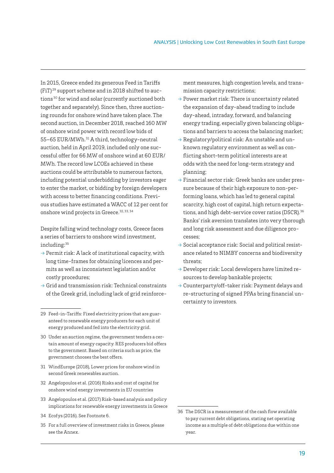In 2015, Greece ended its generous Feed in Tariffs (FiT) 29 support scheme and in 2018 shifted to auctions 30 for wind and solar (currently auctioned both together and separately). Since then, three auctioning rounds for onshore wind have taken place. The second auction, in December 2018, reached 160 MW of onshore wind power with record low bids of 55–65 EUR/MWh.31 A third, technology-neutral auction, held in April 2019, included only one successful offer for 66 MW of onshore wind at 60 EUR/ MWh. The record low LCOEs achieved in these auctions could be attributable to numerous factors, including potential underbidding by investors eager to enter the market, or bidding by foreign developers with access to better financing conditions. Previous studies have estimated a WACC of 12 per cent for onshore wind projects in Greece.<sup>32, 33, 34</sup>

Despite falling wind technology costs, Greece faces a series of barriers to onshore wind investment, including:35

- $\rightarrow$  Permit risk: A lack of institutional capacity, with long time-frames for obtaining licences and permits as well as inconsistent legislation and/or costly procedures;
- $\rightarrow$  Grid and transmission risk: Technical constraints of the Greek grid, including lack of grid reinforce-

- 30 Under an auction regime, the government tenders a certain amount of energy capacity. RES producers bid offers to the government. Based on criteria such as price, the government chooses the best offers.
- 31 WindEurope (2018), Lower prices for onshore wind in second Greek renewables auction.
- 32 Angelopoulos et al. (2016) Risks and cost of capital for onshore wind energy investments in EU countries
- 33 Angelopoulos et al. (2017) Risk-based analysis and policy implications for renewable energy investments in Greece
- 34 Ecofys (2016). See Footnote 6.
- 35 For a full overview of investment risks in Greece, please see the Annex.

ment measures, high congestion levels, and transmission capacity restrictions;

- $\rightarrow$  Power market risk: There is uncertainty related the expansion of day-ahead trading to include day-ahead, intraday, forward, and balancing energy trading, especially given balancing obligations and barriers to access the balancing market;
- $\rightarrow$  Regulatory/political risk: An unstable and unknown regulatory environment as well as conflicting short-term political interests are at odds with the need for long-term strategy and planning;
- → Financial sector risk: Greek banks are under pressure because of their high exposure to non-performing loans, which has led to general capital scarcity, high cost of capital, high return expectations, and high debt-service cover ratios (DSCR).<sup>36</sup> Banks' risk aversion translates into very thorough and long risk assessment and due diligence processes;
- $\rightarrow$  Social acceptance risk: Social and political resistance related to NIMBY concerns and biodiversity threats;
- → Developer risk: Local developers have limited resources to develop bankable projects;
- → Counterparty/off-taker risk: Payment delays and re-structuring of signed PPAs bring financial uncertainty to investors.

<sup>29</sup> Feed-in-Tariffs: Fixed electricity prices that are guaranteed to renewable energy producers for each unit of energy produced and fed into the electricity grid.

<sup>36</sup> The DSCR is a measurement of the cash flow available to pay current debt obligations, stating net operating income as a multiple of debt obligations due within one year.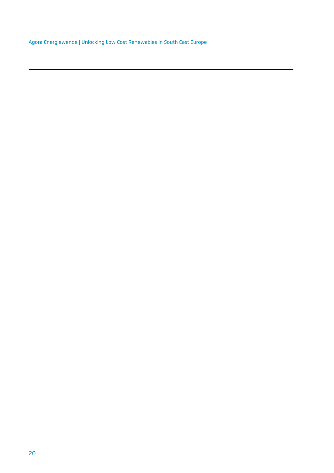Agora Energiewende | Unlocking Low Cost Renewables in South East Europe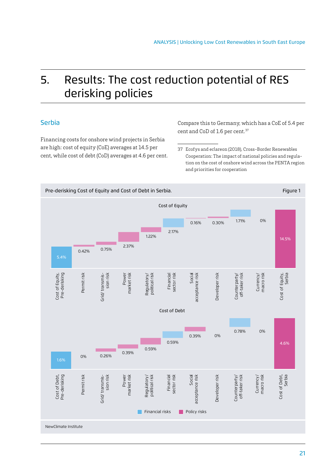## 5. Results: The cost reduction potential of RES derisking policies

## Serbia

Financing costs for onshore wind projects in Serbia are high: cost of equity (CoE) averages at 14.5 per cent, while cost of debt (CoD) averages at 4.6 per cent. Compare this to Germany, which has a CoE of 5.4 per cent and CoD of 1.6 per cent.<sup>37</sup>

37 Ecofys and eclareon (2018), Cross-Border Renewables Cooperation: The impact of national policies and regulation on the cost of onshore wind across the PENTA region and priorities for cooperation

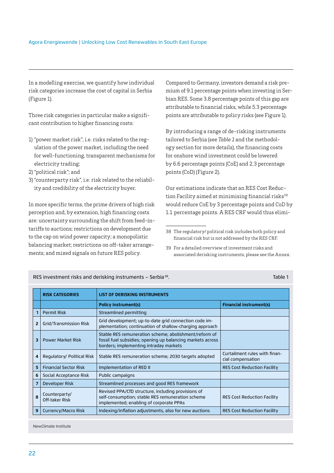In a modelling exercise, we quantify how individual risk categories increase the cost of capital in Serbia ([Figure 1\)](#page-21-0).

Three risk categories in particular make a significant contribution to higher financing costs:

- 1) "power market risk", i.e. risks related to the regulation of the power market, including the need for well-functioning, transparent mechanisms for electricity trading;
- 2) "political risk"; and
- 3) "counterparty risk", i.e. risk related to the reliability and credibility of the electricity buyer.

In more specific terms, the prime drivers of high risk perception and, by extension, high financing costs are: uncertainty surrounding the shift from feed-intariffs to auctions; restrictions on development due to the cap on wind power capacity; a monopolistic balancing market; restrictions on off-taker arrangements; and mixed signals on future RES policy.

Compared to Germany, investors demand a risk premium of 9.1 percentage points when investing in Serbian RES. Some 3.8 percentage points of this gap are attributable to financial risks, while 5.3 percentage points are attributable to policy risks (see Figure 1).

<span id="page-21-0"></span>By introducing a range of de-risking instruments tailored to Serbia (see *Table 1* and the methodology section for more details), the financing costs for onshore wind investment could be lowered by 6.6 percentage points (CoE) and 2.3 percentage points (CoD) (Figure 2).

Our estimations indicate that an RES Cost Reduction Facility aimed at minimising financial risks<sup>38</sup> would reduce CoE by 3 percentage points and CoD by 1.1 percentage points. A RES CRF would thus elimi-

39 For a detailed overview of investment risks and associated derisking instruments, please see the Annex.

|   | <b>RISK CATEGORIES</b>          | <b>LIST OF DERISKING INSTRUMENTS</b>                                                                                                                          |                                                    |  |
|---|---------------------------------|---------------------------------------------------------------------------------------------------------------------------------------------------------------|----------------------------------------------------|--|
|   |                                 | <b>Policy instrument(s)</b>                                                                                                                                   | <b>Financial instrument(s)</b>                     |  |
|   | <b>Permit Risk</b>              | Streamlined permitting                                                                                                                                        |                                                    |  |
| 2 | Grid/Transmission Risk          | Grid development; up-to-date grid connection code im-<br>plementation; continuation of shallow-charging approach                                              |                                                    |  |
| 3 | <b>Power Market Risk</b>        | Stable RES remuneration scheme; abolishment/reform of<br>fossil fuel subsidies; opening up balancing markets across<br>borders; implementing intraday markets |                                                    |  |
| 4 | Regulatory/ Political Risk      | Stable RES remuneration scheme; 2030 targets adopted                                                                                                          | Curtailment rules with finan-<br>cial compensation |  |
| 5 | <b>Financial Sector Risk</b>    | Implementation of RED II                                                                                                                                      | <b>RES Cost Reduction Facility</b>                 |  |
| 6 | Social Acceptance Risk          | Public campaigns                                                                                                                                              |                                                    |  |
| 7 | Developer Risk                  | Streamlined processes and good RES framework                                                                                                                  |                                                    |  |
| 8 | Counterparty/<br>Off-taker Risk | Revised PPA/CfD structure, including provisions of<br>self-consumption; stable RES remuneration scheme<br>implemented; enabling of corporate PPAs             | RES Cost Reduction Facility                        |  |
| 9 | Currency/Macro Risk             | Indexing/inflation adjustments, also for new auctions                                                                                                         | <b>RES Cost Reduction Facility</b>                 |  |

RES investment risks and derisking instruments – Serbia<sup>39</sup>. Table 1 and the serbia 1 and the Table 1

NewClimate Institute

<sup>38</sup> The regulatory/ political risk includes both policy and financial risk but is not addressed by the RES CRF.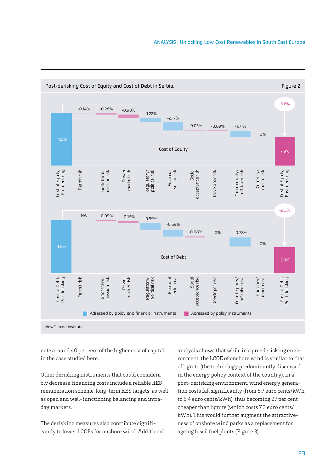

nate around 40 per cent of the higher cost of capital in the case studied here.

Other derisking instruments that could considerably decrease financing costs include a reliable RES remuneration scheme, long-term RES targets, as well as open and well-functioning balancing and intraday markets.

The derisking measures also contribute significantly to lower LCOEs for onshore wind. Additional

analysis shows that while in a pre-derisking environment, the LCOE of onshore wind is similar to that of lignite (the technology predominantly discussed in the energy policy context of the country), in a post-derisking environment, wind energy generation costs fall significantly (from 6.7 euro cents/kWh to 5.4 euro cents/kWh), thus becoming 27 per cent cheaper than lignite (which costs 7.3 euro cents/ kWh). This would further augment the attractiveness of onshore wind parks as a replacement for ageing fossil fuel plants (Figure 3).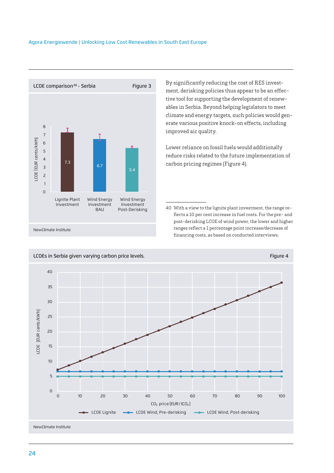

By significantly reducing the cost of RES investment, derisking policies thus appear to be an effective tool for supporting the development of renewables in Serbia. Beyond helping legislators to meet climate and energy targets, such policies would generate various positive knock-on effects, including improved air quality.

Lower reliance on fossil fuels would additionally reduce risks related to the future implementation of carbon pricing regimes (Figure 4).

40 With a view to the lignite plant investment, the range reflects a 10 per cent increase in fuel costs. For the pre- and post-derisking LCOE of wind power, the lower and higher ranges reflect a 1 percentage point increase/decrease of financing costs, as based on conducted interviews.

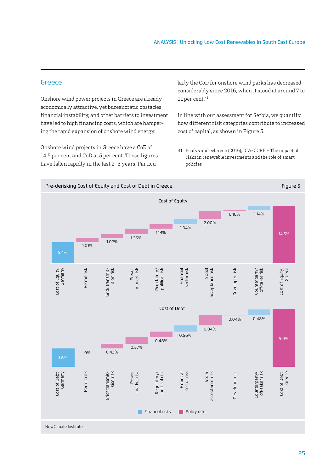### Greece

Onshore wind power projects in Greece are already economically attractive, yet bureaucratic obstacles, financial instability, and other barriers to investment have led to high financing costs, which are hampering the rapid expansion of onshore wind energy.

Onshore wind projects in Greece have a CoE of 14.5 per cent and CoD at 5 per cent. These figures have fallen rapidly in the last 2–3 years. Particularly the CoD for onshore wind parks has decreased considerably since 2016, when it stood at around 7 to 11 per cent.<sup>41</sup>

In line with our assessment for Serbia, we quantify how different risk categories contribute to increased cost of capital, as shown in Figure 5.

41 Ecofys and eclareon (2016), DIA-CORE - The impact of risks in renewable investments and the role of smart policies

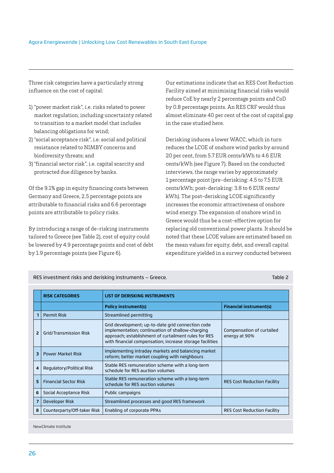Three risk categories have a particularly strong influence on the cost of capital:

- 1) "power market risk", i.e. risks related to power market regulation, including uncertainty related to transition to a market model that includes balancing obligations for wind;
- 2) "social acceptance risk", i.e. social and political resistance related to NIMBY concerns and biodiversity threats; and
- 3) "financial sector risk", i.e. capital scarcity and protracted due diligence by banks.

Of the 9.1% gap in equity financing costs between Germany and Greece, 2.5 percentage points are attributable to financial risks and 6.6 percentage points are attributable to policy risks.

By introducing a range of de-risking instruments tailored to Greece (see Table 2), cost of equity could be lowered by 4.9 percentage points and cost of debt by 1.9 percentage points (see Figure 6).

Our estimations indicate that an RES Cost Reduction Facility aimed at minimising financial risks would reduce CoE by nearly 2 percentage points and CoD by 0.8 percentage points. An RES CRF would thus almost eliminate 40 per cent of the cost of capital gap in the case studied here.

Derisking induces a lower WACC, which in turn reduces the LCOE of onshore wind parks by around 20 per cent, from 5.7 EUR cents/kWh to 4.6 EUR cents/kWh (see Figure 7). Based on the conducted interviews, the range varies by approximately 1 percentage point (pre-derisking: 4.5 to 7.5 EUR cents/kWh; post-derisking: 3.8 to 6 EUR cents/ kWh). The post-derisking LCOE significantly increases the economic attractiveness of onshore wind energy. The expansion of onshore wind in Greece would thus be a cost-effective option for replacing old conventional power plants. It should be noted that these LCOE values are estimated based on the mean values for equity, debt, and overall capital expenditure yielded in a survey conducted between

RES investment risks and derisking instruments – Greece. The contract of the contract of the 2

|   | <b>RISK CATEGORIES</b>       | <b>LIST OF DERISKING INSTRUMENTS</b>                                                                                                                                                                                      |                                            |  |
|---|------------------------------|---------------------------------------------------------------------------------------------------------------------------------------------------------------------------------------------------------------------------|--------------------------------------------|--|
|   |                              | <b>Policy instrument(s)</b><br><b>Financial instrument(s)</b>                                                                                                                                                             |                                            |  |
|   | <b>Permit Risk</b>           | Streamlined permitting                                                                                                                                                                                                    |                                            |  |
| 2 | Grid/Transmission Risk       | Grid development; up-to-date grid connection code<br>implementation; continuation of shallow-charging<br>approach; establishment of curtailment rules for RES<br>with financial compensation; increase storage facilities | Compensation of curtailed<br>energy at 90% |  |
| 3 | <b>Power Market Risk</b>     | Implementing intraday markets and balancing market<br>reform; better market coupling with neighbours                                                                                                                      |                                            |  |
| 4 | Regulatory/Political Risk    | Stable RES remuneration scheme with a long-term<br>schedule for RES auction volumes                                                                                                                                       |                                            |  |
| 5 | <b>Financial Sector Risk</b> | Stable RES remuneration scheme with a long-term<br>schedule for RES auction volumes                                                                                                                                       | RES Cost Reduction Facility                |  |
| 6 | Social Acceptance Risk       | Public campaigns                                                                                                                                                                                                          |                                            |  |
| 7 | Developer Risk               | Streamlined processes and good RES framework                                                                                                                                                                              |                                            |  |
| 8 | Counterparty/Off-taker Risk  | Enabling of corporate PPAs                                                                                                                                                                                                | <b>RES Cost Reduction Facility</b>         |  |

NewClimate Institute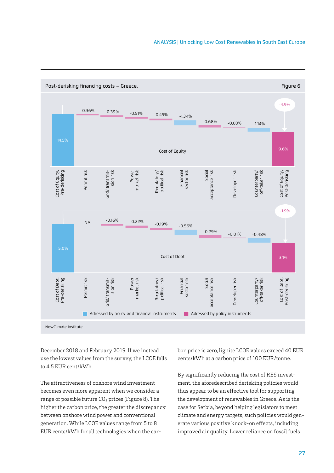

December 2018 and February 2019. If we instead use the lowest values from the survey, the LCOE falls to 4.5 EUR cent/kWh.

The attractiveness of onshore wind investment becomes even more apparent when we consider a range of possible future  $CO<sub>2</sub>$  prices (Figure 8). The higher the carbon price, the greater the discrepancy between onshore wind power and conventional generation. While LCOE values range from 5 to 8 EUR cents/kWh for all technologies when the carbon price is zero, lignite LCOE values exceed 40 EUR cents/kWh at a carbon price of 100 EUR/tonne.

By significantly reducing the cost of RES investment, the aforedescribed derisking policies would thus appear to be an effective tool for supporting the development of renewables in Greece. As is the case for Serbia, beyond helping legislators to meet climate and energy targets, such policies would generate various positive knock-on effects, including improved air quality. Lower reliance on fossil fuels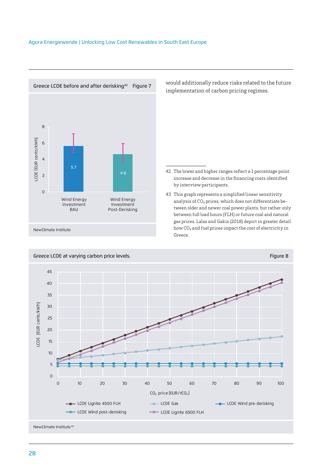

would additionally reduce risks related to the future implementation of carbon pricing regimes.

- 42 The lower and higher ranges reflect a 1 percentage point increase and decrease in the financing costs identified by interview participants.
- 43 This graph represents a simplified linear sensitivity analysis of CO₂ prices, which does not differentiate between older and newer coal power plants, but rather only between full load hours (FLH) or future coal and natural gas prices. Lalas and Gakis (2018) depict in greater detail how CO<sub>2</sub> and fuel prices impact the cost of electricity in Greece.

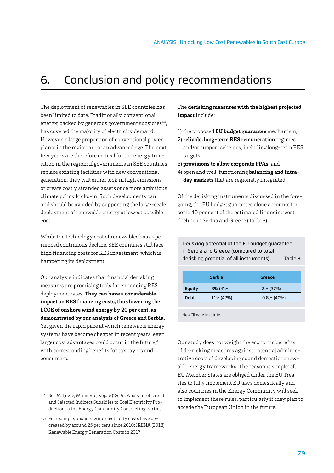## 6. Conclusion and policy recommendations

The deployment of renewables in SEE countries has been limited to date. Traditionally, conventional energy, backed by generous government subsidies<sup>44</sup>, has covered the majority of electricity demand. However, a large proportion of conventional power plants in the region are at an advanced age. The next few years are therefore critical for the energy transition in the region: if governments in SEE countries replace existing facilities with new conventional generation, they will either lock in high emissions or create costly stranded assets once more ambitious climate policy kicks-in. Such developments can and should be avoided by supporting the large-scale deployment of renewable energy at lowest possible cost.

While the technology cost of renewables has experienced continuous decline, SEE countries still face high financing costs for RES investment, which is hampering its deployment.

Our analysis indicates that financial derisking measures are promising tools for enhancing RES deployment rates. **They can have a considerable impact on RES financing costs, thus lowering the LCOE of onshore wind energy by 20 per cent, as demonstrated by our analysis of Greece and Serbia.**  Yet given the rapid pace at which renewable energy systems have become cheaper in recent years, even larger cost advantages could occur in the future, 45 with corresponding benefits for taxpayers and consumers.

The **derisking measures with the highest projected impact** include:

- 1) the proposed **EU budget guarantee** mechanism;
- 2) **reliable, long-term RES remuneration** regimes and/or support schemes, including long-term RES targets;
- 3) **provisions to allow corporate PPAs**; and
- 4) open and well-functioning **balancing and intraday markets** that are regionally integrated.

Of the derisking instruments discussed in the foregoing, the EU budget guarantee alone accounts for some 40 per cent of the estimated financing cost decline in Serbia and Greece (Table 3).

Derisking potential of the EU budget guarantee in Serbia and Greece (compared to total derisking potential of all instruments). Table 3

|               | <b>Serbia</b>  | Greece         |
|---------------|----------------|----------------|
| <b>Equity</b> | $-3\%$ (41%)   | $-2\%$ (37%)   |
| <b>Debt</b>   | $-1.1\%$ (42%) | $-0.8\%$ (40%) |

NewClimate Institute

Our study does not weight the economic benefits of de-risking measures against potential administrative costs of developing sound domestic renewable energy frameworks. The reason is simple: all EU Member States are obliged under the EU Treaties to fully implement EU laws domestically and also countries in the Energy Community will seek to implement these rules, particularly if they plan to accede the European Union in the future.

<sup>44</sup> See Miljević, Mumović, Kopač (2919): Analysis of Direct and Selected Indirect Subsidies to Coal Electricity Production in the Energy Community Contracting Parties

<sup>45</sup> For example, onshore wind electricity costs have decreased by around 25 per cent since 2010: IRENA (2018), Renewable Energy Generation Costs in 2017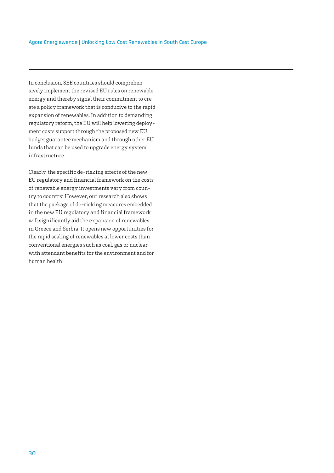In conclusion, SEE countries should comprehensively implement the revised EU rules on renewable energy and thereby signal their commitment to create a policy framework that is conducive to the rapid expansion of renewables. In addition to demanding regulatory reform, the EU will help lowering deployment costs support through the proposed new EU budget guarantee mechanism and through other EU funds that can be used to upgrade energy system infrastructure.

Clearly, the specific de-risking effects of the new EU regulatory and financial framework on the costs of renewable energy investments vary from country to country. However, our research also shows that the package of de-risking measures embedded in the new EU regulatory and financial framework will significantly aid the expansion of renewables in Greece and Serbia. It opens new opportunities for the rapid scaling of renewables at lower costs than conventional energies such as coal, gas or nuclear, with attendant benefits for the environment and for human health.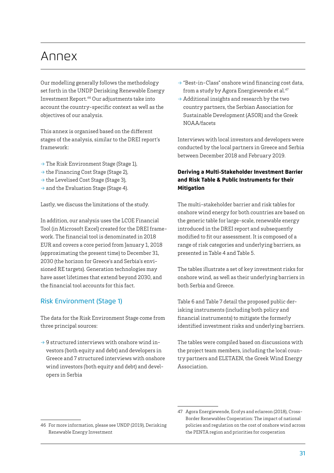## Annex

Our modelling generally follows the methodology set forth in the UNDP Derisking Renewable Energy Investment Report.46 Our adjustments take into account the country-specific context as well as the objectives of our analysis.

This annex is organised based on the different stages of the analysis, similar to the DREI report's framework:

- $\rightarrow$  The Risk Environment Stage (Stage 1),
- $\rightarrow$  the Financing Cost Stage (Stage 2),
- $\rightarrow$  the Levelised Cost Stage (Stage 3),
- $\rightarrow$  and the Evaluation Stage (Stage 4).

Lastly, we discuss the limitations of the study.

In addition, our analysis uses the LCOE Financial Tool (in Microsoft Excel) created for the DREI framework. The financial tool is denominated in 2018 EUR and covers a core period from January 1, 2018 (approximating the present time) to December 31, 2030 (the horizon for Greece's and Serbia's envisioned RE targets). Generation technologies may have asset lifetimes that extend beyond 2030, and the financial tool accounts for this fact.

### Risk Environment (Stage 1)

The data for the Risk Environment Stage come from three principal sources:

 $\rightarrow$  9 structured interviews with onshore wind investors (both equity and debt) and developers in Greece and 7 structured interviews with onshore wind investors (both equity and debt) and developers in Serbia

- $\rightarrow$  "Best-in-Class" onshore wind financing cost data, from a study by Agora Energiewende et al.<sup>47</sup>
- $\rightarrow$  Additional insights and research by the two country partners, the Serbian Association for Sustainable Development (ASOR) and the Greek NOAA/facets

Interviews with local investors and developers were conducted by the local partners in Greece and Serbia between December 2018 and February 2019.

### Deriving a Multi-Stakeholder Investment Barrier and Risk Table & Public Instruments for their Mitigation

The multi-stakeholder barrier and risk tables for onshore wind energy for both countries are based on the generic table for large-scale, renewable energy introduced in the DREI report and subsequently modified to fit our assessment. It is composed of a range of risk categories and underlying barriers, as presented in Table 4 and Table 5.

The tables illustrate a set of key investment risks for onshore wind, as well as their underlying barriers in both Serbia and Greece.

Table 6 and Table 7 detail the proposed public derisking instruments (including both policy and financial instruments) to mitigate the formerly identified investment risks and underlying barriers.

The tables were compiled based on discussions with the project team members, including the local country partners and ELETAEN, the Greek Wind Energy Association.

<sup>46</sup> For more information, please see UNDP (2019), Derisking Renewable Energy Investment

<sup>47</sup> Agora Energiewende, Ecofys and eclareon (2018), Cross-Border Renewables Cooperation: The impact of national policies and regulation on the cost of onshore wind across the PENTA region and priorities for cooperation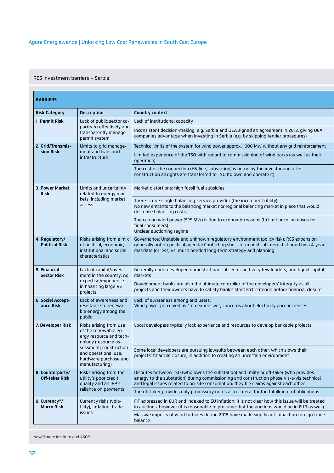#### RES investment barriers - Serbia.

Г

| <b>BARRIERS</b>                           |                                                                                                                 |                                                                                                                                                                                                                                                                            |
|-------------------------------------------|-----------------------------------------------------------------------------------------------------------------|----------------------------------------------------------------------------------------------------------------------------------------------------------------------------------------------------------------------------------------------------------------------------|
| <b>Risk Category</b>                      | <b>Description</b>                                                                                              | <b>Country context</b>                                                                                                                                                                                                                                                     |
| 1. Permit Risk                            | Lack of public sector ca-                                                                                       | Lack of institutional capacity                                                                                                                                                                                                                                             |
|                                           | pacity to effectively and<br>transparently manage<br>permit system                                              | Inconsistent decision-making; e.g. Serbia and UEA signed an agreement in 2013, giving UEA<br>companies advantage when investing in Serbia (e.g. by skipping tender procedures)                                                                                             |
| 2. Grid/Transmis-                         | Limits to grid manage-<br>ment and transport<br>infrastructure                                                  | Technical limits of the system for wind power approx. 1000 MW without any grid reinforcement                                                                                                                                                                               |
| sion Risk                                 |                                                                                                                 | Limited experience of the TSO with regard to commissioning of wind parks (as well as their<br>operation)                                                                                                                                                                   |
|                                           |                                                                                                                 | The cost of the connection (HV line, substation) is borne by the investor and after<br>construction all rights are transferred to TSO (to own and operate it)                                                                                                              |
| 3. Power Market<br><b>Risk</b>            | Limits and uncertainty<br>related to energy mar-                                                                | Market distortions: high fossil fuel subsidies                                                                                                                                                                                                                             |
|                                           | kets, including market<br>access                                                                                | There is one single balancing service provider (the incumbent utility)<br>No new entrants to the balancing market nor regional balancing market in place that would<br>decrease balancing costs                                                                            |
|                                           |                                                                                                                 | The cap on wind power (525 MW) is due to economic reasons (to limit price increases for<br>final consumers)<br>Unclear auctioning regime                                                                                                                                   |
| 4. Regulatory/<br><b>Political Risk</b>   | Risks arising from a mix<br>of political, economic,<br>institutional and social<br>characteristics              | Governance: Unstable and unknown regulatory environment (policy risk); RES expansion<br>generally not on political agenda; Conflicting short-term political interests bound by a 4-year<br>mandate (or less) vs. much needed long-term strategy and planning               |
| 5. Financial<br><b>Sector Risk</b>        | Lack of capital/invest-<br>ment in the country; no<br>expertise/experience<br>in financing large RE<br>projects | Generally underdeveloped domestic financial sector and very few lenders, non-liquid capital<br>markets                                                                                                                                                                     |
|                                           |                                                                                                                 | Development banks are also the ultimate controller of the developers' integrity as all<br>projects and their owners have to satisfy bank's strict KYC criterion before financial closure                                                                                   |
| 6. Social Accept-<br>ance Risk            | Lack of awareness and<br>resistance to renewa-<br>ble energy among the<br>public                                | Lack of awareness among end users;<br>Wind power perceived as "too expensive"; concerns about electricity price increases                                                                                                                                                  |
| 7. Developer Risk                         | Risks arising from use<br>of the renewable en-<br>ergy resource and tech-<br>nology (resource as-               | Local developers typically lack experience and resources to develop bankable projects                                                                                                                                                                                      |
|                                           | sessment; construction<br>and operational use;<br>hardware purchase and<br>manufacturing)                       | Some local developers are pursuing lawsuits between each other, which slows their<br>projects' financial closure, in addition to creating an uncertain environment                                                                                                         |
|                                           | Risks arising from the<br>utility's poor credit                                                                 |                                                                                                                                                                                                                                                                            |
| 8. Counterparty/<br><b>Off-taker Risk</b> | quality and an IPP's                                                                                            | Disputes between TSO (who owns the substation) and utility or off-taker (who provides<br>energy to the substation) during commissioning and construction phase vis-a-vis technical<br>and legal issues related to on-site consumption: they file claims against each other |
|                                           | reliance on payments                                                                                            | The off-taker provides only promissory notes as collateral for the fulfillment of obligations                                                                                                                                                                              |
| 9. Currency*/<br><b>Macro Risk</b>        | Currency risks (vola-<br>tility), inflation, trade                                                              | FIT expressed in EUR and indexed to EU inflation; it is not clear how this issue will be treated<br>in auctions, however (it is reasonable to presume that the auctions would be in EUR as well).                                                                          |

NewClimate Institute and ASOR \*Note this risk category on the currency of financing is in hard currency. The currency of financing is in hard currency. The currency of financing is in hard currency. The currency of the cur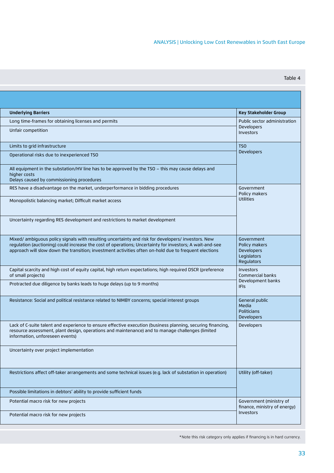#### RES investment barriers – Serbia. Table 4

| <b>Underlying Barriers</b>                                                                                                                                                                                                                                                                                              | <b>Key Stakeholder Group</b>                                           |
|-------------------------------------------------------------------------------------------------------------------------------------------------------------------------------------------------------------------------------------------------------------------------------------------------------------------------|------------------------------------------------------------------------|
| Long time-frames for obtaining licenses and permits                                                                                                                                                                                                                                                                     | Public sector administration                                           |
| Unfair competition                                                                                                                                                                                                                                                                                                      | Developers<br>Investors                                                |
| Limits to grid infrastructure                                                                                                                                                                                                                                                                                           | <b>TSO</b>                                                             |
| Operational risks due to inexperienced TSO                                                                                                                                                                                                                                                                              | Developers                                                             |
| All equipment in the substation/HV line has to be approved by the TSO - this may cause delays and<br>higher costs<br>Delays caused by commissioning procedures                                                                                                                                                          |                                                                        |
| RES have a disadvantage on the market, underperformance in bidding procedures                                                                                                                                                                                                                                           | Government<br>Policy makers                                            |
| Monopolistic balancing market; Difficult market access                                                                                                                                                                                                                                                                  | <b>Utilities</b>                                                       |
| Uncertainty regarding RES development and restrictions to market development                                                                                                                                                                                                                                            |                                                                        |
| Mixed/ ambiguous policy signals with resulting uncertainty and risk for developers/ investors. New<br>regulation (auctioning) could increase the cost of operations; Uncertainty for investors; A wait-and-see<br>approach will slow down the transition; investment activities often on-hold due to frequent elections | Government<br>Policy makers<br>Developers<br>Legislators<br>Regulators |
| Capital scarcity and high cost of equity capital, high return expectations; high required DSCR (preference<br>of small projects)                                                                                                                                                                                        | Investors<br>Commercial banks                                          |
| Protracted due diligence by banks leads to huge delays (up to 9 months)                                                                                                                                                                                                                                                 | Development banks<br><b>IFIS</b>                                       |
| Resistance: Social and political resistance related to NIMBY concerns; special interest groups                                                                                                                                                                                                                          | General public<br>Media<br>Politicians<br>Developers                   |
| Lack of C-suite talent and experience to ensure effective execution (business planning, securing financing,<br>resource assessment, plant design, operations and maintenance) and to manage challenges (limited<br>information, unforeseen events)                                                                      | Developers                                                             |
| Uncertainty over project implementation                                                                                                                                                                                                                                                                                 |                                                                        |
| Restrictions affect off-taker arrangements and some technical issues (e.g. lack of substation in operation)                                                                                                                                                                                                             | Utility (off-taker)                                                    |
| Possible limitations in debtors' ability to provide sufficient funds                                                                                                                                                                                                                                                    |                                                                        |
| Potential macro risk for new projects                                                                                                                                                                                                                                                                                   | Government (ministry of<br>finance, ministry of energy)                |
| Potential macro risk for new projects                                                                                                                                                                                                                                                                                   | Investors                                                              |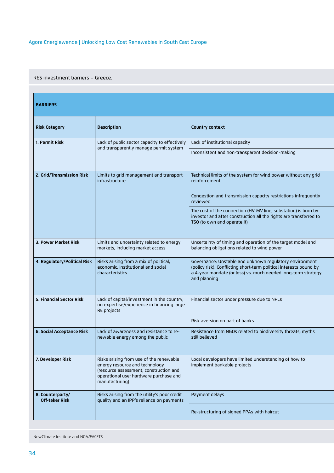## Agora Energiewende | Unlocking Low Cost Renewables in South East Europe

#### RES investment barriers - Greece.

| <b>BARRIERS</b>                           |                                                                                                                                                                                 |                                                                                                                                                                                                                |
|-------------------------------------------|---------------------------------------------------------------------------------------------------------------------------------------------------------------------------------|----------------------------------------------------------------------------------------------------------------------------------------------------------------------------------------------------------------|
| <b>Risk Category</b>                      | <b>Description</b>                                                                                                                                                              | Country context                                                                                                                                                                                                |
| 1. Permit Risk                            | Lack of public sector capacity to effectively<br>and transparently manage permit system                                                                                         | Lack of institutional capacity<br>Inconsistent and non-transparent decision-making                                                                                                                             |
| 2. Grid/Transmission Risk                 | Limits to grid management and transport<br>infrastructure                                                                                                                       | Technical limits of the system for wind power without any grid<br>reinforcement                                                                                                                                |
|                                           |                                                                                                                                                                                 | Congestion and transmission capacity restrictions infrequently<br>reviewed<br>The cost of the connection (HV-MV line, substation) is born by                                                                   |
|                                           |                                                                                                                                                                                 | investor and after construction all the rights are transferred to<br>TSO (to own and operate it)                                                                                                               |
| 3. Power Market Risk                      | Limits and uncertainty related to energy<br>markets, including market access                                                                                                    | Uncertainty of timing and operation of the target model and<br>balancing obligations related to wind power                                                                                                     |
| 4. Regulatory/Political Risk              | Risks arising from a mix of political,<br>economic, institutional and social<br>characteristics                                                                                 | Governance: Unstable and unknown regulatory environment<br>(policy risk); Conflicting short-term political interests bound by<br>a 4-year mandate (or less) vs. much needed long-term strategy<br>and planning |
| 5. Financial Sector Risk                  | Lack of capital/investment in the country;<br>no expertise/experience in financing large<br>RE projects                                                                         | Financial sector under pressure due to NPLs                                                                                                                                                                    |
|                                           |                                                                                                                                                                                 | Risk aversion on part of banks                                                                                                                                                                                 |
| 6. Social Acceptance Risk                 | Lack of awareness and resistance to re-<br>newable energy among the public                                                                                                      | Resistance from NGOs related to biodiversity threats; myths<br>still believed                                                                                                                                  |
| 7. Developer Risk                         | Risks arising from use of the renewable<br>energy resource and technology<br>(resource assessment; construction and<br>operational use; hardware purchase and<br>manufacturing) | Local developers have limited understanding of how to<br>implement bankable projects                                                                                                                           |
| 8. Counterparty/<br><b>Off-taker Risk</b> | Risks arising from the utility's poor credit<br>quality and an IPP's reliance on payments                                                                                       | Payment delays                                                                                                                                                                                                 |
|                                           |                                                                                                                                                                                 | Re-structuring of signed PPAs with haircut                                                                                                                                                                     |

NewClimate Institute and NOA/FACETS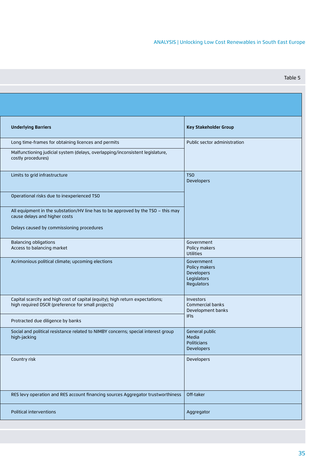## ANALYSIS | Unlocking Low Cost Renewables in South East Europe

| <b>Underlying Barriers</b>                                                                                                          | Key Stakeholder Group                                                  |
|-------------------------------------------------------------------------------------------------------------------------------------|------------------------------------------------------------------------|
| Long time-frames for obtaining licences and permits                                                                                 | Public sector administration                                           |
| Malfunctioning judicial system (delays, overlapping/inconsistent legislature,<br>costly procedures)                                 |                                                                        |
| Limits to grid infrastructure                                                                                                       | <b>TSO</b><br>Developers                                               |
| Operational risks due to inexperienced TSO                                                                                          |                                                                        |
| All equipment in the substation/HV line has to be approved by the TSO - this may<br>cause delays and higher costs                   |                                                                        |
| Delays caused by commissioning procedures                                                                                           |                                                                        |
| <b>Balancing obligations</b><br>Access to balancing market                                                                          | Government<br>Policy makers<br>Utilities                               |
| Acrimonious political climate; upcoming elections                                                                                   | Government<br>Policy makers<br>Developers<br>Legislators<br>Regulators |
| Capital scarcity and high cost of capital (equity); high return expectations;<br>high required DSCR (preference for small projects) | Investors<br>Commercial banks<br>Development banks                     |
| Protracted due diligence by banks                                                                                                   | <b>IFIs</b>                                                            |
| Social and political resistance related to NIMBY concerns; special interest group<br>high-jacking                                   | General public<br>Media<br>Politicians<br>Developers                   |
| Country risk                                                                                                                        | Developers                                                             |
| RES levy operation and RES account financing sources Aggregator trustworthiness   Off-taker                                         |                                                                        |
| Political interventions                                                                                                             | Aggregator                                                             |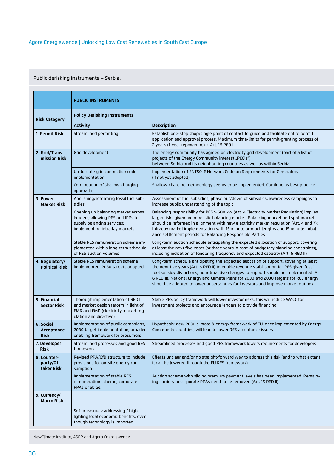Public derisking instruments - Serbia.

|                                         | <b>PUBLIC INSTRUMENTS</b>                                                                                                                   |                                                                                                                                                                                                                                                                                                                                                                                                                                                            |  |  |
|-----------------------------------------|---------------------------------------------------------------------------------------------------------------------------------------------|------------------------------------------------------------------------------------------------------------------------------------------------------------------------------------------------------------------------------------------------------------------------------------------------------------------------------------------------------------------------------------------------------------------------------------------------------------|--|--|
| <b>Risk Category</b>                    | <b>Policy Derisking Instruments</b>                                                                                                         |                                                                                                                                                                                                                                                                                                                                                                                                                                                            |  |  |
|                                         | <b>Activity</b>                                                                                                                             | <b>Description</b>                                                                                                                                                                                                                                                                                                                                                                                                                                         |  |  |
| 1. Permit Risk                          | Streamlined permitting                                                                                                                      | Establish one-stop shop/single point of contact to guide and facilitate entire permit<br>application and approval process. Maximum time-limits for permit-granting process of<br>2 years (1-year repowering) → Art. 16 RED II                                                                                                                                                                                                                              |  |  |
| 2. Grid/Trans-<br>mission Risk          | Grid development                                                                                                                            | The energy community has agreed on electricity grid development (part of a list of<br>projects of the Energy Community interest "PECIs")<br>between Serbia and its neighbouring countries as well as within Serbia                                                                                                                                                                                                                                         |  |  |
|                                         | Up-to-date grid connection code<br>implementation                                                                                           | Implementation of ENTSO-E Network Code on Requirements for Generators<br>(if not yet adopted)                                                                                                                                                                                                                                                                                                                                                              |  |  |
|                                         | Continuation of shallow-charging<br>approach                                                                                                | Shallow-charging methodology seems to be implemented. Continue as best practice                                                                                                                                                                                                                                                                                                                                                                            |  |  |
| 3. Power<br><b>Market Risk</b>          | Abolishing/reforming fossil fuel sub-<br>sidies                                                                                             | Assessment of fuel subsidies, phase out/down of subsidies, awareness campaigns to<br>increase public understanding of the topic                                                                                                                                                                                                                                                                                                                            |  |  |
|                                         | Opening up balancing market across<br>borders; allowing RES and IPPs to<br>supply balancing services;<br>implementing intraday markets      | Balancing responsibility for RES > 500 kW (Art. 4 Electricity Market Regulation) implies<br>larger risks given monopolistic balancing market. Balancing market and spot market<br>should be reformed in alignment with new electricity market regulation (Art. 4 and 7):<br>Intraday market implementation with 15 minute product lengths and 15 minute imbal-<br>ance settlement periods for Balancing Responsible Parties                                |  |  |
|                                         | Stable RES remuneration scheme im-<br>plemented with a long-term schedule<br>of RES auction volumes                                         | Long-term auction schedule anticipating the expected allocation of support, covering<br>at least the next five years (or three years in case of budgetary planning constraints),<br>including indication of tendering frequency and expected capacity (Art. 6 RED II)                                                                                                                                                                                      |  |  |
| 4. Regulatory/<br><b>Political Risk</b> | Stable RES remuneration scheme<br>implemented. 2030 targets adopted                                                                         | Long-term schedule anticipating the expected allocation of support, covering at least<br>the next five years (Art. 6 RED II) to enable revenue stabilisation for RES given fossil<br>fuel subsidy distortions; no retroactive changes to support should be implemented (Art.<br>6 RED II); National Energy and Climate Plans for 2030 and 2030 targets for RES energy<br>should be adopted to lower uncertainties for investors and improve market outlook |  |  |
| 5. Financial<br><b>Sector Risk</b>      | Thorough implementation of RED II<br>and market design reform in light of<br>EMR and EMD (electricity market reg-<br>ulation and directive) | Stable RES policy framework will lower investor risks; this will reduce WACC for<br>investment projects and encourage lenders to provide financing                                                                                                                                                                                                                                                                                                         |  |  |
| 6. Social<br>Acceptance<br><b>Risk</b>  | Implementation of public campaigns,<br>2030 target implementation, broader<br>enabling framework for prosumers                              | Hypothesis: new 2030 climate & energy framework of EU, once implemented by Energy<br>Community countries, will lead to lower RES acceptance issues                                                                                                                                                                                                                                                                                                         |  |  |
| 7. Developer<br><b>Risk</b>             | framework                                                                                                                                   | Streamlined processes and good RES   Streamlined processes and good RES framework lowers requirements for developers                                                                                                                                                                                                                                                                                                                                       |  |  |
| 8. Counter-<br>party/Off-<br>taker Risk | Revised PPA/CfD structure to include<br>provisions for on-site energy con-<br>sumption                                                      | Effects unclear and/or no straight-forward way to address this risk (and to what extent<br>it can be lowered through the EU RES framework)                                                                                                                                                                                                                                                                                                                 |  |  |
|                                         | Implementation of stable RES<br>remuneration scheme; corporate<br>PPAs enabled.                                                             | Auction scheme with sliding premium payment levels has been implemented. Remain-<br>ing barriers to corporate PPAs need to be removed (Art. 15 RED II)                                                                                                                                                                                                                                                                                                     |  |  |
| 9. Currency/<br><b>Macro Risk</b>       |                                                                                                                                             |                                                                                                                                                                                                                                                                                                                                                                                                                                                            |  |  |
|                                         | Soft measures: addressing / high-<br>lighting local economic benefits, even<br>though technology is imported                                |                                                                                                                                                                                                                                                                                                                                                                                                                                                            |  |  |

NewClimate Institute, ASOR and Agora Energiewende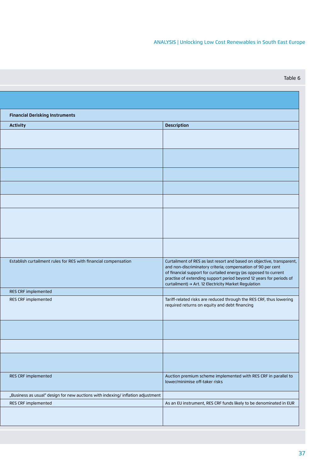Public derisking instruments – Serbia. Table 6

| <b>Financial Derisking Instruments</b>                                          |                                                                                                                                                                                                                                                                                                                                           |
|---------------------------------------------------------------------------------|-------------------------------------------------------------------------------------------------------------------------------------------------------------------------------------------------------------------------------------------------------------------------------------------------------------------------------------------|
|                                                                                 | <b>Description</b>                                                                                                                                                                                                                                                                                                                        |
|                                                                                 |                                                                                                                                                                                                                                                                                                                                           |
|                                                                                 |                                                                                                                                                                                                                                                                                                                                           |
|                                                                                 |                                                                                                                                                                                                                                                                                                                                           |
|                                                                                 |                                                                                                                                                                                                                                                                                                                                           |
|                                                                                 |                                                                                                                                                                                                                                                                                                                                           |
|                                                                                 |                                                                                                                                                                                                                                                                                                                                           |
|                                                                                 |                                                                                                                                                                                                                                                                                                                                           |
| Establish curtailment rules for RES with financial compensation                 | Curtailment of RES as last resort and based on objective, transparent,<br>and non-discriminatory criteria; compensation of 90 per cent<br>of financial support for curtailed energy (as opposed to current<br>practise of extending support period beyond 12 years for periods of<br>curtailment) → Art. 12 Electricity Market Regulation |
| RES CRF implemented                                                             |                                                                                                                                                                                                                                                                                                                                           |
| RES CRF implemented                                                             | Tariff-related risks are reduced through the RES CRF, thus lowering<br>required returns on equity and debt financing                                                                                                                                                                                                                      |
|                                                                                 |                                                                                                                                                                                                                                                                                                                                           |
|                                                                                 |                                                                                                                                                                                                                                                                                                                                           |
|                                                                                 |                                                                                                                                                                                                                                                                                                                                           |
| RES CRF implemented                                                             | Auction premium scheme implemented with RES CRF in parallel to<br>lower/minimise off-taker risks                                                                                                                                                                                                                                          |
| "Business as usual" design for new auctions with indexing/ inflation adjustment |                                                                                                                                                                                                                                                                                                                                           |
| RES CRF implemented                                                             | As an EU instrument, RES CRF funds likely to be denominated in EUR                                                                                                                                                                                                                                                                        |
|                                                                                 |                                                                                                                                                                                                                                                                                                                                           |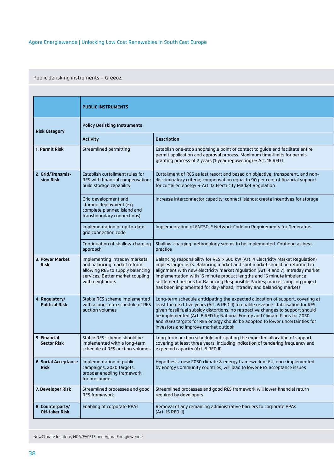## Agora Energiewende | Unlocking Low Cost Renewables in South East Europe

Public derisking instruments - Greece.

|                                                                                                                                                                                                                                                                                                                                                                                                                                                                                                                                                                                                                                                                                   | <b>PUBLIC INSTRUMENTS</b>                                                                                     |                                                                                                                                                                                                                                                |  |  |
|-----------------------------------------------------------------------------------------------------------------------------------------------------------------------------------------------------------------------------------------------------------------------------------------------------------------------------------------------------------------------------------------------------------------------------------------------------------------------------------------------------------------------------------------------------------------------------------------------------------------------------------------------------------------------------------|---------------------------------------------------------------------------------------------------------------|------------------------------------------------------------------------------------------------------------------------------------------------------------------------------------------------------------------------------------------------|--|--|
| <b>Risk Category</b>                                                                                                                                                                                                                                                                                                                                                                                                                                                                                                                                                                                                                                                              | <b>Policy Derisking Instruments</b>                                                                           |                                                                                                                                                                                                                                                |  |  |
|                                                                                                                                                                                                                                                                                                                                                                                                                                                                                                                                                                                                                                                                                   | <b>Activity</b>                                                                                               | <b>Description</b>                                                                                                                                                                                                                             |  |  |
| 1. Permit Risk                                                                                                                                                                                                                                                                                                                                                                                                                                                                                                                                                                                                                                                                    | Streamlined permitting                                                                                        | Establish one-stop shop/single point of contact to guide and facilitate entire<br>permit application and approval process. Maximum time-limits for permit-<br>granting process of 2 years (1-year repowering) $\rightarrow$ Art. 16 RED II     |  |  |
| 2. Grid/Transmis-<br>sion Risk                                                                                                                                                                                                                                                                                                                                                                                                                                                                                                                                                                                                                                                    | Establish curtailment rules for<br>RES with financial compensation;<br>build storage capability               | Curtailment of RES as last resort and based on objective, transparent, and non-<br>discriminatory criteria; compensation equal to 90 per cent of financial support<br>for curtailed energy $\rightarrow$ Art. 12 Electricity Market Regulation |  |  |
|                                                                                                                                                                                                                                                                                                                                                                                                                                                                                                                                                                                                                                                                                   | Grid development and<br>storage deployment (e.g.<br>complete planned island and<br>transboundary connections) | Increase interconnector capacity; connect islands; create incentives for storage                                                                                                                                                               |  |  |
|                                                                                                                                                                                                                                                                                                                                                                                                                                                                                                                                                                                                                                                                                   | Implementation of up-to-date<br>grid connection code                                                          | Implementation of ENTSO-E Network Code on Requirements for Generators                                                                                                                                                                          |  |  |
|                                                                                                                                                                                                                                                                                                                                                                                                                                                                                                                                                                                                                                                                                   | Continuation of shallow-charging<br>approach                                                                  | Shallow-charging methodology seems to be implemented. Continue as best-<br>practice                                                                                                                                                            |  |  |
| Implementing intraday markets<br>3. Power Market<br>Balancing responsibility for RES > 500 kW (Art. 4 Electricity Market Regulation)<br>and balancing market reform<br>implies larger risks. Balancing market and spot market should be reformed in<br><b>Risk</b><br>allowing RES to supply balancing<br>alignment with new electricity market regulation (Art. 4 and 7): Intraday market<br>services; Better market coupling<br>implementation with 15 minute product lengths and 15 minute imbalance<br>with neighbours<br>settlement periods for Balancing Responsible Parties; market-coupling project<br>has been implemented for day-ahead, intraday and balancing markets |                                                                                                               |                                                                                                                                                                                                                                                |  |  |
| 4. Regulatory/<br>Stable RES scheme implemented<br>Long-term schedule anticipating the expected allocation of support, covering at<br>least the next five years (Art. 6 RED II) to enable revenue stabilisation for RES<br>with a long-term schedule of RES<br><b>Political Risk</b><br>given fossil fuel subsidy distortions; no retroactive changes to support should<br>auction volumes<br>be implemented (Art. 6 RED II); National Energy and Climate Plans for 2030<br>and 2030 targets for RES energy should be adopted to lower uncertainties for<br>investors and improve market outlook                                                                                  |                                                                                                               |                                                                                                                                                                                                                                                |  |  |
| 5. Financial<br><b>Sector Risk</b>                                                                                                                                                                                                                                                                                                                                                                                                                                                                                                                                                                                                                                                | Stable RES scheme should be<br>implemented with a long-term<br>schedule of RES auction volumes                | Long-term auction schedule anticipating the expected allocation of support,<br>covering at least three years, including indication of tendering frequency and<br>expected capacity (Art. 6 RED II)                                             |  |  |
| 6. Social Acceptance<br><b>Risk</b>                                                                                                                                                                                                                                                                                                                                                                                                                                                                                                                                                                                                                                               | Implementation of public<br>campaigns, 2030 targets,<br>broader enabling framework<br>for prosumers           | Hypothesis: new 2030 climate & energy framework of EU, once implemented<br>by Energy Community countries, will lead to lower RES acceptance issues                                                                                             |  |  |
| 7. Developer Risk                                                                                                                                                                                                                                                                                                                                                                                                                                                                                                                                                                                                                                                                 | Streamlined processes and good<br>RES framework                                                               | Streamlined processes and good RES framework will lower financial return<br>required by developers                                                                                                                                             |  |  |
| 8. Counterparty/<br><b>Off-taker Risk</b>                                                                                                                                                                                                                                                                                                                                                                                                                                                                                                                                                                                                                                         | Enabling of corporate PPAs                                                                                    | Removal of any remaining administrative barriers to corporate PPAs<br>(Art. 15 RED II)                                                                                                                                                         |  |  |

NewClimate Institute, NOA/FACETS and Agora Energiewende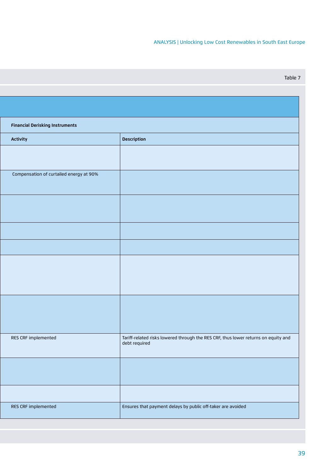## ANALYSIS | Unlocking Low Cost Renewables in South East Europe

Public derisking instruments – Greece. Table 7

| <b>Financial Derisking Instruments</b>  |                                                                                                     |
|-----------------------------------------|-----------------------------------------------------------------------------------------------------|
| Activity                                | <b>Description</b>                                                                                  |
|                                         |                                                                                                     |
| Compensation of curtailed energy at 90% |                                                                                                     |
|                                         |                                                                                                     |
|                                         |                                                                                                     |
|                                         |                                                                                                     |
|                                         |                                                                                                     |
|                                         |                                                                                                     |
|                                         |                                                                                                     |
|                                         |                                                                                                     |
|                                         |                                                                                                     |
|                                         |                                                                                                     |
|                                         |                                                                                                     |
|                                         |                                                                                                     |
| RES CRF implemented                     | Tariff-related risks lowered through the RES CRF, thus lower returns on equity and<br>debt required |
|                                         |                                                                                                     |
|                                         |                                                                                                     |
|                                         |                                                                                                     |
| RES CRF implemented                     | Ensures that payment delays by public off-taker are avoided                                         |
|                                         |                                                                                                     |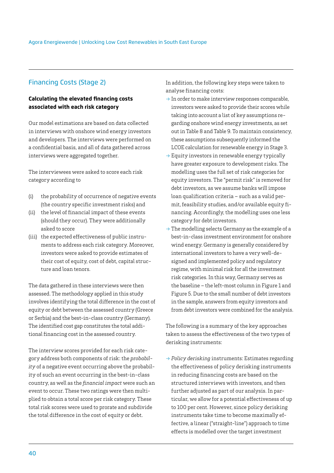## Financing Costs (Stage 2)

#### Calculating the elevated financing costs associated with each risk category

Our model estimations are based on data collected in interviews with onshore wind energy investors and developers. The interviews were performed on a confidential basis, and all of data gathered across interviews were aggregated together.

The interviewees were asked to score each risk category according to

- (i) the probability of occurrence of negative events (the country specific investment risks) and
- (ii) the level of financial impact of these events (should they occur). They were additionally asked to score
- (iii) the expected effectiveness of public instruments to address each risk category. Moreover, investors were asked to provide estimates of their cost of equity, cost of debt, capital structure and loan tenors.

The data gathered in these interviews were then assessed. The methodology applied in this study involves identifying the total difference in the cost of equity or debt between the assessed country (Greece or Serbia) and the best-in-class country (Germany). The identified cost gap constitutes the total additional financing cost in the assessed country.

The interview scores provided for each risk category address both components of risk: the *probability* of a negative event occurring above the probability of such an event occurring in the best-in-class country, as well as the *financial impact* were such an event to occur. These two ratings were then multiplied to obtain a total score per risk category. These total risk scores were used to prorate and subdivide the total difference in the cost of equity or debt.

In addition, the following key steps were taken to analyse financing costs:

- $\rightarrow$  In order to make interview responses comparable, investors were asked to provide their scores while taking into account a list of key assumptions regarding onshore wind energy investments, as set out in [Table 8](#page-39-0) and Table 9. To maintain consistency, these assumptions subsequently informed the LCOE calculation for renewable energy in Stage 3.
- $\rightarrow$  Equity investors in renewable energy typically have greater exposure to development risks. The modelling uses the full set of risk categories for equity investors. The "permit risk" is removed for debt investors, as we assume banks will impose loan qualification criteria – such as a valid permit, feasibility studies, and/or available equity financing. Accordingly, the modelling uses one less category for debt investors.
- $\rightarrow$  The modelling selects Germany as the example of a best-in-class investment environment for onshore wind energy. Germany is generally considered by international investors to have a very well-designed and implemented policy and regulatory regime, with minimal risk for all the investment risk categories. In this way, Germany serves as the baseline – the left-most column in [Figure 1](#page-21-0) and Figure 5. Due to the small number of debt investors in the sample, answers from equity investors and from debt investors were combined for the analysis.

<span id="page-39-0"></span>The following is a summary of the key approaches taken to assess the effectiveness of the two types of derisking instruments:

→ *Policy derisking* instruments: Estimates regarding the effectiveness of policy derisking instruments in reducing financing costs are based on the structured interviews with investors, and then further adjusted as part of our analysis. In particular, we allow for a potential effectiveness of up to 100 per cent. However, since policy derisking instruments take time to become maximally effective, a linear ("straight-line") approach to time effects is modelled over the target investment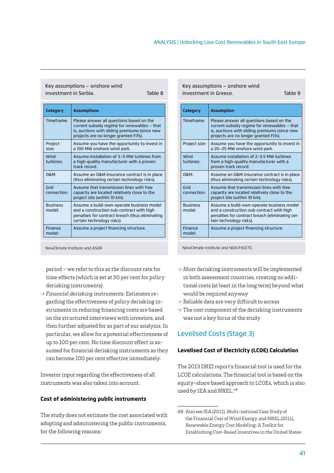| investment in Serbia.<br>Table 8 |                                                                                                                                                                                    |  |
|----------------------------------|------------------------------------------------------------------------------------------------------------------------------------------------------------------------------------|--|
| Category                         | <b>Assumptions</b>                                                                                                                                                                 |  |
| Timeframe:                       | Please answer all questions based on the<br>current subsidy regime for renewables - that<br>is, auctions with sliding premiums (since new<br>projects are no longer granted FiTs). |  |
| Project<br>size:                 | Assume you have the opportunity to invest in<br>a 100 MW onshore wind park.                                                                                                        |  |
| <b>Wind</b><br>turbines:         | Assume installation of 3-5 MW turbines from<br>a high-guality manufacturer with a proven<br>track record.                                                                          |  |
| 0.8M                             | Assume an O&M insurance contract is in place<br>(thus eliminating certain technology risks).                                                                                       |  |
| Grid<br>connection:              | Assume that transmission lines with free<br>capacity are located relatively close to the<br>project site (within 10 km).                                                           |  |
| <b>Business</b><br>model:        | Assume a build-own-operate business model<br>and a construction sub-contract with high<br>penalties for contract breach (thus eliminating<br>certain technology risks).            |  |
| Finance<br>model:                | Assume a project financing structure.                                                                                                                                              |  |

Key assumptions – onshore wind investment in Greece. Table 9

| Category                  | <b>Assumption</b>                                                                                                                                                                  |
|---------------------------|------------------------------------------------------------------------------------------------------------------------------------------------------------------------------------|
| Timeframe:                | Please answer all questions based on the<br>current subsidy regime for renewables - that<br>is, auctions with sliding premiums (since new<br>projects are no longer granted FiTs). |
| Project size:             | Assume you have the opportunity to invest in<br>a 20-25 MW onshore wind park.                                                                                                      |
| Wind<br>turbines:         | Assume installation of 2-3.5 MW turbines<br>from a high-quality manufacturer with a<br>proven track record.                                                                        |
| $ORM$ :                   | Assume an O&M insurance contract is in place<br>(thus eliminating certain technology risks).                                                                                       |
| Grid<br>connection:       | Assume that transmission lines with free<br>capacity are located relatively close to the<br>project site (within 10 km).                                                           |
| <b>Business</b><br>model: | Assume a build-own-operate business model<br>and a construction sub-contract with high<br>penalties for contract breach (eliminating cer-<br>tain technology risks).               |
| Finance<br>model:         | Assume a project financing structure.                                                                                                                                              |

NewClimate Institute and ASOR

Key assumptions – onshore wind

period – we refer to this as the discount rate for time effects (which is set at 50 per cent for policy derisking instruments).

→ *Financial derisking instruments:* Estimates regarding the effectiveness of policy derisking instruments in reducing financing costs are based on the structured interviews with investors, and then further adjusted for as part of our analysis. In particular, we allow for a potential effectiveness of up to 100 per cent. No time discount effect is assumed for financial derisking instruments as they can become 100 per cent effective immediately.

Investor input regarding the effectiveness of all instruments was also taken into account.

#### Cost of administering public instruments

The study does not estimate the cost associated with adopting and administering the public instruments, for the following reasons:

NewClimate Institute and NOA/FACETS

- $\rightarrow$  Most derisking instruments will be implemented in both assessment countries, creating no additional costs (at least in the long term) beyond what would be required anyway
- $\rightarrow$  Reliable data are very difficult to access
- $\rightarrow$  The cost component of the derisking instruments was not a key focus of the study

## Levelised Costs (Stage 3)

#### Levelised Cost of Electricity (LCOE) Calculation

The 2013 DREI report's financial tool is used for the LCOE calculations. The financial tool is based on the equity-share based approach to LCOEs, which is also used by IEA and NREL.*<sup>48</sup>*

<sup>48</sup> Also see IEA (2011), Multi-national Case Study of the Financial Cost of Wind Energy, and NREL (2011), Renewable Energy Cost Modeling: A Toolkit for Establishing Cost-Based Incentives in the United States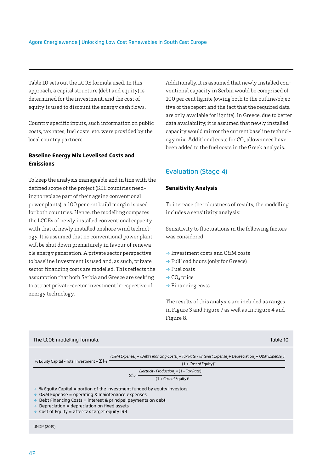[Table 10](#page-41-0) sets out the LCOE formula used. In this approach, a capital structure (debt and equity) is determined for the investment, and the cost of equity is used to discount the energy cash flows.

<span id="page-41-0"></span>Country specific inputs, such information on public costs, tax rates, fuel costs, etc. were provided by the local country partners.

#### Baseline Energy Mix Levelised Costs and Emissions

To keep the analysis manageable and in line with the defined scope of the project (SEE countries needing to replace part of their ageing conventional power plants), a 100 per cent build margin is used for both countries. Hence, the modelling compares the LCOEs of newly installed conventional capacity with that of newly installed onshore wind technology. It is assumed that no conventional power plant will be shut down prematurely in favour of renewable energy generation. A private sector perspective to baseline investment is used and, as such, private sector financing costs are modelled. This reflects the assumption that both Serbia and Greece are seeking to attract private-sector investment irrespective of energy technology.

Additionally, it is assumed that newly installed conventional capacity in Serbia would be comprised of 100 per cent lignite (owing both to the outline/objective of the report and the fact that the required data are only available for lignite). In Greece, due to better data availability, it is assumed that newly installed capacity would mirror the current baseline technology mix. Additional costs for  $CO<sub>2</sub>$  allowances have been added to the fuel costs in the Greek analysis.

### Evaluation (Stage 4)

#### Sensitivity Analysis

To increase the robustness of results, the modelling includes a sensitivity analysis:

Sensitivity to fluctuations in the following factors was considered:

- $\rightarrow$  Investment costs and O&M costs
- $\rightarrow$  Full load hours (only for Greece)
- $\rightarrow$  Fuel costs
- $\rightarrow$  CO<sub>2</sub> price
- $\rightarrow$  Financing costs

The results of this analysis are included as ranges in Figure 3 and Figure 7 as well as in Figure 4 and Figure 8.

| The LCOE modelling formula.                                                                                                                                                                                                                                                                                                                                    | Table 10                                                                                                                                                                                                                                                                                                                                                                  |  |  |
|----------------------------------------------------------------------------------------------------------------------------------------------------------------------------------------------------------------------------------------------------------------------------------------------------------------------------------------------------------------|---------------------------------------------------------------------------------------------------------------------------------------------------------------------------------------------------------------------------------------------------------------------------------------------------------------------------------------------------------------------------|--|--|
| % Equity Capital * Total Investment + $\Sigma_{\tau=1}^T$                                                                                                                                                                                                                                                                                                      | (O&M Expense) <sub>x</sub> + (Debt Financing Costs) <sub>x</sub> - Tax Rate * (Interest Expense <sub>x</sub> + Depreciation <sub>x</sub> + O&M Expense <sub>x</sub> )<br>$(1 + Cost of Equity)^{\tau}$<br><i>Electricity Production</i> <sub><i>x</i></sub> * (1 – <i>Tax Rate</i> )<br>(1 + <i>Cost of</i> Equity) <sup><i>x</i></sup><br>$\Sigma_{\tau=1}^{\mathrm{T}}$ |  |  |
| $\rightarrow$ % Equity Capital = portion of the investment funded by equity investors<br>$\rightarrow$ 0&M Expense = operating & maintenance expenses<br>$\rightarrow$ Debt Financing Costs = interest & principal payments on debt<br>$\rightarrow$ Depreciation = depreciation on fixed assets<br>$\rightarrow$ Cost of Equity = after-tax target equity IRR |                                                                                                                                                                                                                                                                                                                                                                           |  |  |
| UNDP (2019)                                                                                                                                                                                                                                                                                                                                                    |                                                                                                                                                                                                                                                                                                                                                                           |  |  |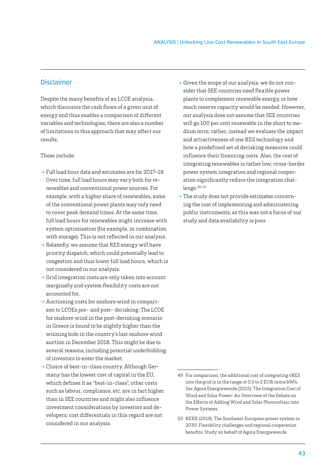## **Disclaimer**

Despite the many benefits of an LCOE analysis, which discounts the cash flows of a given unit of energy and thus enables a comparison of different variables and technologies, there are also a number of limitations to this approach that may affect our results.

#### These include:

- $\rightarrow$  Full load hour data and estimates are for 2017–18. Over time, full load hours may vary both for renewables and conventional power sources. For example, with a higher share of renewables, some of the conventional power plants may only need to cover peak demand times. At the same time, full load hours for renewables might increase with system optimisation (for example, in combination with storage). This is not reflected in our analysis.
- $\rightarrow$  Relatedly, we assume that RES energy will have priority dispatch, which could potentially lead to congestion and thus lower full load hours, which is not considered in our analysis.
- $\rightarrow$  Grid integration costs are only taken into account marginally and system flexibility costs are not accounted for.
- $\rightarrow$  Auctioning costs for onshore wind in comparison to LCOEs pre- and post- derisking: The LCOE for onshore wind in the post-derisking scenario in Greece is found to be slightly higher than the winning bids in the country's last onshore wind auction in December 2018. This might be due to several reasons, including potential underbidding of investors to enter the market.
- → Choice of best-in-class country. Although Germany has the lowest cost of capital in the EU, which defines it as "best-in-class", other costs such as labour, compliance, etc. are in fact higher than in SEE countries and might also influence investment considerations by investors and developers; cost differentials in this regard are not considered in our analysis.
- $\rightarrow$  Given the scope of our analysis, we do not consider that SEE countries need flexible power plants to complement renewable energy, or how much reserve capacity would be needed. However, our analysis does not assume that SEE countries will go 100 per cent renewable in the short to medium term; rather, instead we evaluate the impact and attractiveness of one RES technology and how a predefined set of derisking measures could influence their financing costs. Also, the cost of integrating renewables is rather low; cross-border power system integration and regional cooperation significantly reduce the integration challenge.49, 50
- $\rightarrow$  The study does not provide estimates concerning the cost of implementing and administering public instruments, as this was not a focus of our study and data availability is poor.

<sup>49</sup> For comparison, the additional cost of integrating vRES into the grid is in the range of 0.5 to 2 EUR cents/kWh. See Agora Energiewende (2015): The Integration Cost of Wind and Solar Power: An Overview of the Debate on the Effects of Adding Wind and Solar Photovoltaic into Power Systems.

<sup>50</sup> REKK (2019). The Southeast European power system in 2030: Flexibility challenges and regional cooperation benefits. Study on behalf of Agora Energiewende.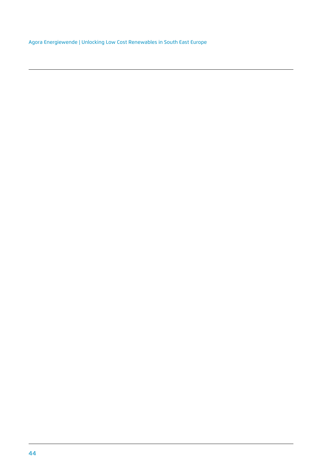Agora Energiewende | Unlocking Low Cost Renewables in South East Europe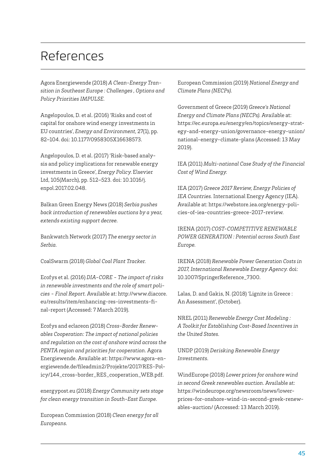## References

Agora Energiewende (2018) *A Clean-Energy Transition in Southeast Europe : Challenges , Options and Policy Priorities IMPULSE.*

Angelopoulos, D. et al. (2016) 'Risks and cost of capital for onshore wind energy investments in EU countries', *Energy and Environment*, 27(1), pp. 82–104. doi: 10.1177/0958305X16638573.

Angelopoulos, D. et al. (2017) 'Risk-based analysis and policy implications for renewable energy investments in Greece', *Energy Policy*. Elsevier Ltd, 105(March), pp. 512–523. doi: 10.1016/j. enpol.2017.02.048.

Balkan Green Energy News (2018) *Serbia pushes back introduction of renewables auctions by a year, extends existing support decree.*

Bankwatch Network (2017) *The energy sector in Serbia.*

CoalSwarm (2018) *Global Coal Plant Tracker.*

Ecofys et al. (2016) *DIA-CORE - The impact of risks in renewable investments and the role of smart policies - Final Report.* Available at: [http://www.diacore.](http://www.diacore.eu/results/item/enhancing-res-investments-final-report) [eu/results/item/enhancing-res-investments-fi](http://www.diacore.eu/results/item/enhancing-res-investments-final-report)[nal-report](http://www.diacore.eu/results/item/enhancing-res-investments-final-report) (Accessed: 7 March 2019).

Ecofys and eclareon (2018) *Cross-Border Renewables Cooperation: The impact of national policies and regulation on the cost of onshore wind across the PENTA region and priorities for cooperation.* Agora Energiewende. Available at: [https://www.agora-en](https://www.agora-energiewende.de/fileadmin2/Projekte/2017/RES-Policy/144_cross-border_RES_cooperati)[ergiewende.de/fileadmin2/Projekte/2017/RES-Pol](https://www.agora-energiewende.de/fileadmin2/Projekte/2017/RES-Policy/144_cross-border_RES_cooperati)[icy/144\\_cross-border\\_RES\\_cooperation\\_WEB.pdf.](https://www.agora-energiewende.de/fileadmin2/Projekte/2017/RES-Policy/144_cross-border_RES_cooperati)

energypost.eu (2018) *Energy Community sets stage for clean energy transition in South-East Europe.*

European Commission (2018) *Clean energy for all Europeans.*

European Commission (2019) *National Energy and Climate Plans (NECPs).*

Government of Greece (2019) *Greece's National Energy and Climate Plans (NECPs).* Available at: [https://ec.europa.eu/energy/en/topics/energy-strat](https://ec.europa.eu/energy/en/topics/energy-strategy-and-energy-union/governance-energy-union/natio)[egy-and-energy-union/governance-energy-union/](https://ec.europa.eu/energy/en/topics/energy-strategy-and-energy-union/governance-energy-union/natio) [national-energy-climate-plans](https://ec.europa.eu/energy/en/topics/energy-strategy-and-energy-union/governance-energy-union/natio) (Accessed: 13 May 2019).

IEA (2011) *Multi-national Case Study of the Financial Cost of Wind Energy.*

IEA (2017) *Greece 2017 Review, Energy Policies of IEA Countries.* International Energy Agency (IEA). Available at: [https://webstore.iea.org/energy-poli](https://webstore.iea.org/energy-policies-of-iea-countries-greece-2017-review)[cies-of-iea-countries-greece-2017-review.](https://webstore.iea.org/energy-policies-of-iea-countries-greece-2017-review)

IRENA (2017) *COST-COMPETITIVE RENEWABLE POWER GENERATION : Potential across South East Europe.*

IRENA (2018) *Renewable Power Generation Costs in 2017, International Renewable Energy Agency.* doi: 10.1007/SpringerReference\_7300.

Lalas, D. and Gakis, N. (2018) 'Lignite in Greece : An Assessment', (October).

NREL (2011) *Renewable Energy Cost Modeling : A Toolkit for Establishing Cost-Based Incentives in the United States.*

UNDP (2019) *Derisking Renewable Energy Investments.*

WindEurope (2018) *Lower prices for onshore wind in second Greek renewables auction.* Available at: [https://windeurope.org/newsroom/news/lower](https://windeurope.org/newsroom/news/lower-prices-for-onshore-wind-in-second-greek-renewables-auctio)[prices-for-onshore-wind-in-second-greek-renew](https://windeurope.org/newsroom/news/lower-prices-for-onshore-wind-in-second-greek-renewables-auctio)[ables-auction/](https://windeurope.org/newsroom/news/lower-prices-for-onshore-wind-in-second-greek-renewables-auctio) (Accessed: 13 March 2019).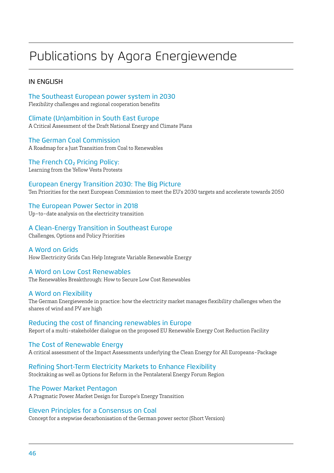# Publications by Agora Energiewende

## IN ENGLISH

The Southeast European power system in 2030 Flexibility challenges and regional cooperation benefits

Climate (Un)ambition in South East Europe A Critical Assessment of the Draft National Energy and Climate Plans

The German Coal Commission A Roadmap for a Just Transition from Coal to Renewables

The French CO<sub>2</sub> Pricing Policy: Learning from the Yellow Vests Protests

European Energy Transition 2030: The Big Picture Ten Priorities for the next European Commission to meet the EU's 2030 targets and accelerate towards 2050

The European Power Sector in 2018 Up-to-date analysis on the electricity transition

A Clean-Energy Transition in Southeast Europe Challenges, Options and Policy Priorities

A Word on Grids

How Electricity Grids Can Help Integrate Variable Renewable Energy

### A Word on Low Cost Renewables

The Renewables Breakthrough: How to Secure Low Cost Renewables

### A Word on Flexibility

The German Energiewende in practice: how the electricity market manages flexibility challenges when the shares of wind and PV are high

Reducing the cost of financing renewables in Europe Report of a multi-stakeholder dialogue on the proposed EU Renewable Energy Cost Reduction Facility

### The Cost of Renewable Energy

A critical assessment of the Impact Assessments underlying the Clean Energy for All Europeans-Package

Refining Short-Term Electricity Markets to Enhance Flexibility Stocktaking as well as Options for Reform in the Pentalateral Energy Forum Region

### The Power Market Pentagon

A Pragmatic Power Market Design for Europe's Energy Transition

### Eleven Principles for a Consensus on Coal

Concept for a stepwise decarbonisation of the German power sector (Short Version)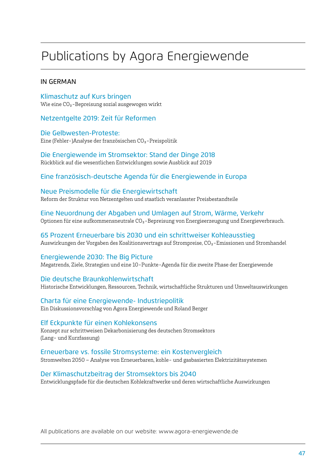# Publications by Agora Energiewende

## IN GERMAN

Klimaschutz auf Kurs bringen Wie eine CO₂-Bepreisung sozial ausgewogen wirkt

Netzentgelte 2019: Zeit für Reformen

Die Gelbwesten-Proteste: Eine (Fehler-)Analyse der französischen CO₂-Preispolitik

Die Energiewende im Stromsektor: Stand der Dinge 2018 Rückblick auf die wesentlichen Entwicklungen sowie Ausblick auf 2019

Eine französisch-deutsche Agenda für die Energiewende in Europa

Neue Preismodelle für die Energiewirtschaft Reform der Struktur von Netzentgelten und staatlich veranlasster Preisbestandteile

Eine Neuordnung der Abgaben und Umlagen auf Strom, Wärme, Verkehr Optionen für eine aufkommensneutrale CO₂-Bepreisung von Energieerzeugung und Energieverbrauch.

65 Prozent Erneuerbare bis 2030 und ein schrittweiser Kohleausstieg Auswirkungen der Vorgaben des Koalitionsvertrags auf Strompreise, CO₂-Emissionen und Stromhandel

Energiewende 2030: The Big Picture Megatrends, Ziele, Strategien und eine 10-Punkte-Agenda für die zweite Phase der Energiewende

Die deutsche Braunkohlenwirtschaft Historische Entwicklungen, Ressourcen, Technik, wirtschaftliche Strukturen und Umweltauswirkungen

Charta für eine Energiewende- Industriepolitik Ein Diskussionsvorschlag von Agora Energiewende und Roland Berger

Elf Eckpunkte für einen Kohlekonsens Konzept zur schrittweisen Dekarbonisierung des deutschen Stromsektors (Lang- und Kurzfassung)

Erneuerbare vs. fossile Stromsysteme: ein Kostenvergleich Stromwelten 2050 – Analyse von Erneuerbaren, kohle- und gasbasierten Elektrizitätssystemen

## Der Klimaschutzbeitrag der Stromsektors bis 2040

Entwicklungspfade für die deutschen Kohlekraftwerke und deren wirtschaftliche Auswirkungen

[All publications are available on our website:](https://www.agora-energiewende.de/de/) [www.agora-energiewende.de](http://www.agora-energiewende.de)